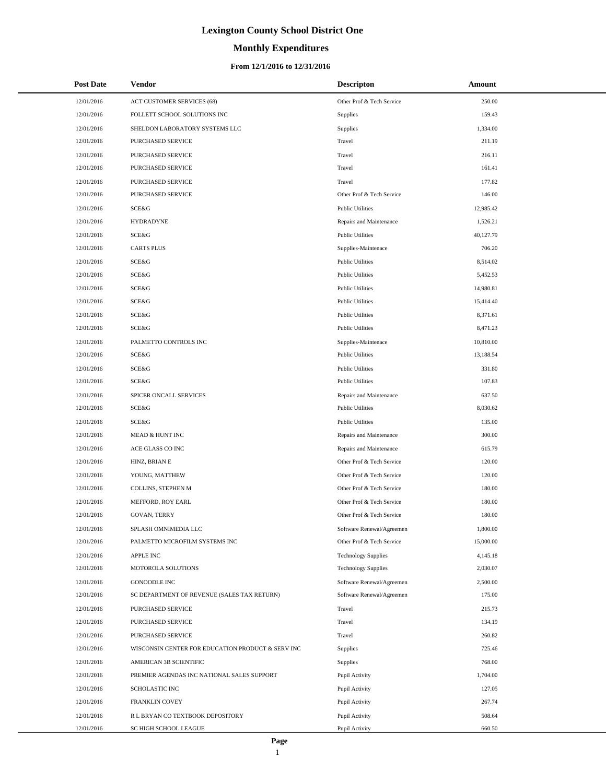# **Monthly Expenditures**

### **From 12/1/2016 to 12/31/2016**

| <b>Post Date</b> | Vendor                                            | <b>Descripton</b>          | Amount    |
|------------------|---------------------------------------------------|----------------------------|-----------|
| 12/01/2016       | ACT CUSTOMER SERVICES (68)                        | Other Prof & Tech Service  | 250.00    |
| 12/01/2016       | FOLLETT SCHOOL SOLUTIONS INC                      | Supplies                   | 159.43    |
| 12/01/2016       | SHELDON LABORATORY SYSTEMS LLC                    | Supplies                   | 1,334.00  |
| 12/01/2016       | PURCHASED SERVICE                                 | Travel                     | 211.19    |
| 12/01/2016       | PURCHASED SERVICE                                 | Travel                     | 216.11    |
| 12/01/2016       | PURCHASED SERVICE                                 | Travel                     | 161.41    |
| 12/01/2016       | PURCHASED SERVICE                                 | Travel                     | 177.82    |
| 12/01/2016       | PURCHASED SERVICE                                 | Other Prof & Tech Service  | 146.00    |
| 12/01/2016       | SCE&G                                             | <b>Public Utilities</b>    | 12,985.42 |
| 12/01/2016       | <b>HYDRADYNE</b>                                  | Repairs and Maintenance    | 1,526.21  |
| 12/01/2016       | SCE&G                                             | <b>Public Utilities</b>    | 40,127.79 |
| 12/01/2016       | <b>CARTS PLUS</b>                                 | Supplies-Maintenace        | 706.20    |
| 12/01/2016       | SCE&G                                             | <b>Public Utilities</b>    | 8,514.02  |
| 12/01/2016       | SCE&G                                             | <b>Public Utilities</b>    | 5,452.53  |
| 12/01/2016       | <b>SCE&amp;G</b>                                  | <b>Public Utilities</b>    | 14,980.81 |
| 12/01/2016       | <b>SCE&amp;G</b>                                  | <b>Public Utilities</b>    | 15,414.40 |
| 12/01/2016       | SCE&G                                             | <b>Public Utilities</b>    | 8,371.61  |
| 12/01/2016       | SCE&G                                             | <b>Public Utilities</b>    | 8,471.23  |
| 12/01/2016       | PALMETTO CONTROLS INC                             | Supplies-Maintenace        | 10,810.00 |
| 12/01/2016       | SCE&G                                             | <b>Public Utilities</b>    | 13,188.54 |
| 12/01/2016       | <b>SCE&amp;G</b>                                  | <b>Public Utilities</b>    | 331.80    |
| 12/01/2016       | SCE&G                                             | <b>Public Utilities</b>    | 107.83    |
| 12/01/2016       | SPICER ONCALL SERVICES                            | Repairs and Maintenance    | 637.50    |
| 12/01/2016       | SCE&G                                             | <b>Public Utilities</b>    | 8,030.62  |
| 12/01/2016       | SCE&G                                             | <b>Public Utilities</b>    | 135.00    |
| 12/01/2016       | MEAD & HUNT INC                                   | Repairs and Maintenance    | 300.00    |
| 12/01/2016       | ACE GLASS CO INC                                  | Repairs and Maintenance    | 615.79    |
| 12/01/2016       | HINZ, BRIAN E                                     | Other Prof & Tech Service  | 120.00    |
| 12/01/2016       | YOUNG, MATTHEW                                    | Other Prof & Tech Service  | 120.00    |
| 12/01/2016       | COLLINS, STEPHEN M                                | Other Prof & Tech Service  | 180.00    |
| 12/01/2016       | MEFFORD, ROY EARL                                 | Other Prof & Tech Service  | 180.00    |
| 12/01/2016       | <b>GOVAN, TERRY</b>                               | Other Prof & Tech Service  | 180.00    |
| 12/01/2016       | SPLASH OMNIMEDIA LLC                              | Software Renewal/Agreemen  | 1,800.00  |
| 12/01/2016       | PALMETTO MICROFILM SYSTEMS INC                    | Other Prof & Tech Service  | 15,000.00 |
| 12/01/2016       | APPLE INC                                         | <b>Technology Supplies</b> | 4,145.18  |
| 12/01/2016       | MOTOROLA SOLUTIONS                                | <b>Technology Supplies</b> | 2,030.07  |
| 12/01/2016       | <b>GONOODLE INC</b>                               | Software Renewal/Agreemen  | 2,500.00  |
| 12/01/2016       | SC DEPARTMENT OF REVENUE (SALES TAX RETURN)       | Software Renewal/Agreemen  | 175.00    |
| 12/01/2016       | PURCHASED SERVICE                                 | Travel                     | 215.73    |
| 12/01/2016       | PURCHASED SERVICE                                 | Travel                     | 134.19    |
| 12/01/2016       | PURCHASED SERVICE                                 | Travel                     | 260.82    |
| 12/01/2016       | WISCONSIN CENTER FOR EDUCATION PRODUCT & SERV INC | <b>Supplies</b>            | 725.46    |
| 12/01/2016       | AMERICAN 3B SCIENTIFIC                            | <b>Supplies</b>            | 768.00    |
| 12/01/2016       | PREMIER AGENDAS INC NATIONAL SALES SUPPORT        | Pupil Activity             | 1,704.00  |
| 12/01/2016       | SCHOLASTIC INC                                    | Pupil Activity             | 127.05    |
| 12/01/2016       | FRANKLIN COVEY                                    | Pupil Activity             | 267.74    |
| 12/01/2016       | R L BRYAN CO TEXTBOOK DEPOSITORY                  | Pupil Activity             | 508.64    |
| 12/01/2016       | SC HIGH SCHOOL LEAGUE                             | Pupil Activity             | 660.50    |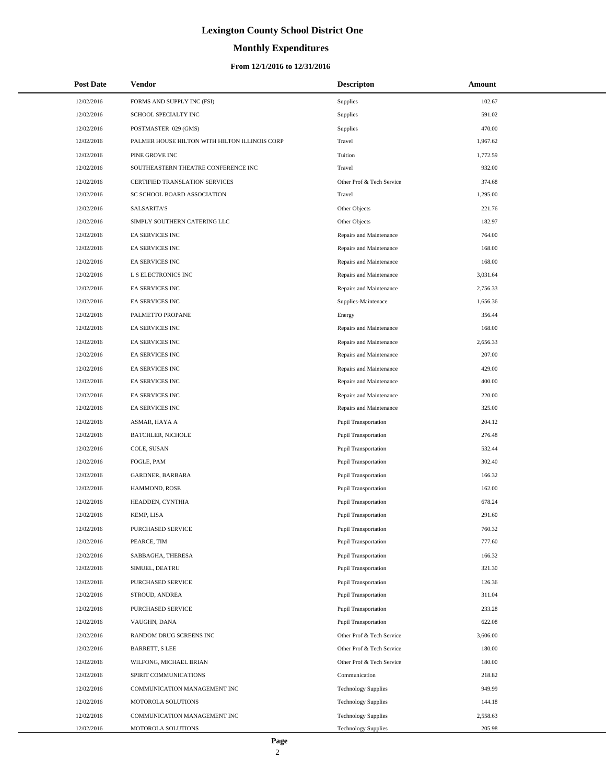### **Monthly Expenditures**

### **From 12/1/2016 to 12/31/2016**

| <b>Post Date</b> | <b>Vendor</b>                                 | <b>Descripton</b>           | Amount   |
|------------------|-----------------------------------------------|-----------------------------|----------|
| 12/02/2016       | FORMS AND SUPPLY INC (FSI)                    | Supplies                    | 102.67   |
| 12/02/2016       | SCHOOL SPECIALTY INC                          | Supplies                    | 591.02   |
| 12/02/2016       | POSTMASTER 029 (GMS)                          | Supplies                    | 470.00   |
| 12/02/2016       | PALMER HOUSE HILTON WITH HILTON ILLINOIS CORP | Travel                      | 1,967.62 |
| 12/02/2016       | PINE GROVE INC                                | Tuition                     | 1,772.59 |
| 12/02/2016       | SOUTHEASTERN THEATRE CONFERENCE INC           | Travel                      | 932.00   |
| 12/02/2016       | CERTIFIED TRANSLATION SERVICES                | Other Prof & Tech Service   | 374.68   |
| 12/02/2016       | SC SCHOOL BOARD ASSOCIATION                   | Travel                      | 1,295.00 |
| 12/02/2016       | <b>SALSARITA'S</b>                            | Other Objects               | 221.76   |
| 12/02/2016       | SIMPLY SOUTHERN CATERING LLC                  | Other Objects               | 182.97   |
| 12/02/2016       | EA SERVICES INC                               | Repairs and Maintenance     | 764.00   |
| 12/02/2016       | EA SERVICES INC                               | Repairs and Maintenance     | 168.00   |
| 12/02/2016       | EA SERVICES INC                               | Repairs and Maintenance     | 168.00   |
| 12/02/2016       | L S ELECTRONICS INC                           | Repairs and Maintenance     | 3,031.64 |
| 12/02/2016       | EA SERVICES INC                               | Repairs and Maintenance     | 2,756.33 |
| 12/02/2016       | EA SERVICES INC                               | Supplies-Maintenace         | 1.656.36 |
| 12/02/2016       | PALMETTO PROPANE                              | Energy                      | 356.44   |
| 12/02/2016       | EA SERVICES INC                               | Repairs and Maintenance     | 168.00   |
| 12/02/2016       | EA SERVICES INC                               | Repairs and Maintenance     | 2,656.33 |
| 12/02/2016       | EA SERVICES INC                               | Repairs and Maintenance     | 207.00   |
| 12/02/2016       | EA SERVICES INC                               | Repairs and Maintenance     | 429.00   |
| 12/02/2016       | EA SERVICES INC                               | Repairs and Maintenance     | 400.00   |
| 12/02/2016       | EA SERVICES INC                               | Repairs and Maintenance     | 220.00   |
| 12/02/2016       | EA SERVICES INC                               | Repairs and Maintenance     | 325.00   |
| 12/02/2016       | ASMAR, HAYA A                                 | Pupil Transportation        | 204.12   |
| 12/02/2016       | <b>BATCHLER, NICHOLE</b>                      | Pupil Transportation        | 276.48   |
| 12/02/2016       | COLE, SUSAN                                   | Pupil Transportation        | 532.44   |
| 12/02/2016       | FOGLE, PAM                                    | <b>Pupil Transportation</b> | 302.40   |
| 12/02/2016       | GARDNER, BARBARA                              | Pupil Transportation        | 166.32   |
| 12/02/2016       | HAMMOND, ROSE                                 | <b>Pupil Transportation</b> | 162.00   |
| 12/02/2016       | HEADDEN, CYNTHIA                              | Pupil Transportation        | 678.24   |
| 12/02/2016       | KEMP, LISA                                    | <b>Pupil Transportation</b> | 291.60   |
| 12/02/2016       | <b>PURCHASED SERVICE</b>                      | <b>Pupil Transportation</b> | 760.32   |
| 12/02/2016       | PEARCE, TIM                                   | Pupil Transportation        | 777.60   |
| 12/02/2016       | SABBAGHA, THERESA                             | Pupil Transportation        | 166.32   |
| 12/02/2016       | SIMUEL, DEATRU                                | <b>Pupil Transportation</b> | 321.30   |
| 12/02/2016       | PURCHASED SERVICE                             | Pupil Transportation        | 126.36   |
| 12/02/2016       | STROUD, ANDREA                                | Pupil Transportation        | 311.04   |
| 12/02/2016       | <b>PURCHASED SERVICE</b>                      | Pupil Transportation        | 233.28   |
| 12/02/2016       | VAUGHN, DANA                                  | <b>Pupil Transportation</b> | 622.08   |
| 12/02/2016       | RANDOM DRUG SCREENS INC                       | Other Prof & Tech Service   | 3,606.00 |
| 12/02/2016       | <b>BARRETT, S LEE</b>                         | Other Prof & Tech Service   | 180.00   |
| 12/02/2016       | WILFONG, MICHAEL BRIAN                        | Other Prof & Tech Service   | 180.00   |
| 12/02/2016       | SPIRIT COMMUNICATIONS                         | Communication               | 218.82   |
| 12/02/2016       | COMMUNICATION MANAGEMENT INC                  | <b>Technology Supplies</b>  | 949.99   |
| 12/02/2016       | MOTOROLA SOLUTIONS                            | <b>Technology Supplies</b>  | 144.18   |
| 12/02/2016       | COMMUNICATION MANAGEMENT INC                  | <b>Technology Supplies</b>  | 2,558.63 |
| 12/02/2016       | MOTOROLA SOLUTIONS                            | <b>Technology Supplies</b>  | 205.98   |

L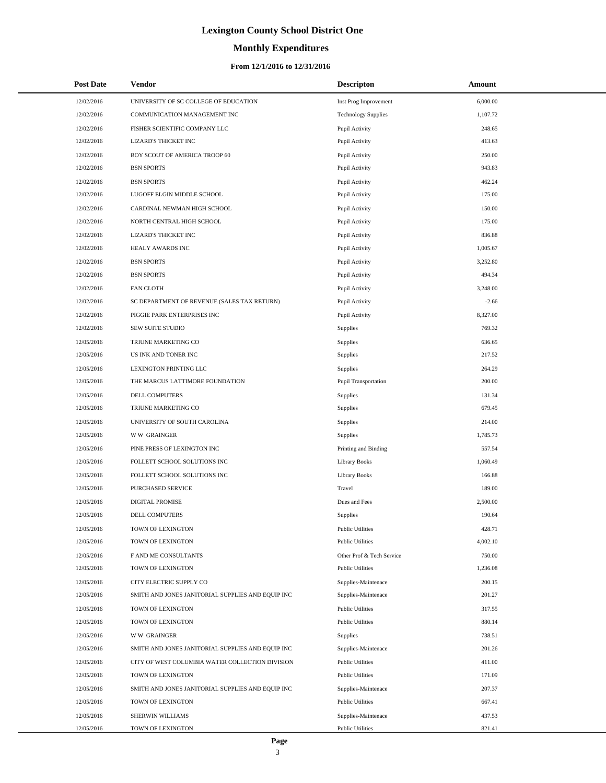# **Monthly Expenditures**

| <b>Post Date</b> | Vendor                                            | <b>Descripton</b>          | Amount   |
|------------------|---------------------------------------------------|----------------------------|----------|
| 12/02/2016       | UNIVERSITY OF SC COLLEGE OF EDUCATION             | Inst Prog Improvement      | 6,000.00 |
| 12/02/2016       | COMMUNICATION MANAGEMENT INC                      | <b>Technology Supplies</b> | 1,107.72 |
| 12/02/2016       | FISHER SCIENTIFIC COMPANY LLC                     | Pupil Activity             | 248.65   |
| 12/02/2016       | LIZARD'S THICKET INC                              | Pupil Activity             | 413.63   |
| 12/02/2016       | BOY SCOUT OF AMERICA TROOP 60                     | Pupil Activity             | 250.00   |
| 12/02/2016       | <b>BSN SPORTS</b>                                 | Pupil Activity             | 943.83   |
| 12/02/2016       | <b>BSN SPORTS</b>                                 | Pupil Activity             | 462.24   |
| 12/02/2016       | LUGOFF ELGIN MIDDLE SCHOOL                        | Pupil Activity             | 175.00   |
| 12/02/2016       | CARDINAL NEWMAN HIGH SCHOOL                       | Pupil Activity             | 150.00   |
| 12/02/2016       | NORTH CENTRAL HIGH SCHOOL                         | Pupil Activity             | 175.00   |
| 12/02/2016       | LIZARD'S THICKET INC                              | Pupil Activity             | 836.88   |
| 12/02/2016       | HEALY AWARDS INC                                  | Pupil Activity             | 1,005.67 |
| 12/02/2016       | <b>BSN SPORTS</b>                                 | Pupil Activity             | 3,252.80 |
| 12/02/2016       | <b>BSN SPORTS</b>                                 | Pupil Activity             | 494.34   |
| 12/02/2016       | <b>FAN CLOTH</b>                                  | Pupil Activity             | 3,248.00 |
| 12/02/2016       | SC DEPARTMENT OF REVENUE (SALES TAX RETURN)       | Pupil Activity             | $-2.66$  |
| 12/02/2016       | PIGGIE PARK ENTERPRISES INC                       | Pupil Activity             | 8,327.00 |
| 12/02/2016       | SEW SUITE STUDIO                                  | Supplies                   | 769.32   |
| 12/05/2016       | TRIUNE MARKETING CO                               | Supplies                   | 636.65   |
| 12/05/2016       | US INK AND TONER INC                              | Supplies                   | 217.52   |
| 12/05/2016       | LEXINGTON PRINTING LLC                            | Supplies                   | 264.29   |
| 12/05/2016       | THE MARCUS LATTIMORE FOUNDATION                   | Pupil Transportation       | 200.00   |
| 12/05/2016       | DELL COMPUTERS                                    | <b>Supplies</b>            | 131.34   |
| 12/05/2016       | TRIUNE MARKETING CO                               | Supplies                   | 679.45   |
| 12/05/2016       | UNIVERSITY OF SOUTH CAROLINA                      | Supplies                   | 214.00   |
| 12/05/2016       | <b>WW GRAINGER</b>                                | Supplies                   | 1,785.73 |
| 12/05/2016       | PINE PRESS OF LEXINGTON INC                       | Printing and Binding       | 557.54   |
| 12/05/2016       | FOLLETT SCHOOL SOLUTIONS INC                      | <b>Library Books</b>       | 1,060.49 |
| 12/05/2016       | FOLLETT SCHOOL SOLUTIONS INC                      | <b>Library Books</b>       | 166.88   |
| 12/05/2016       | PURCHASED SERVICE                                 | Travel                     | 189.00   |
| 12/05/2016       | DIGITAL PROMISE                                   | Dues and Fees              | 2,500.00 |
| 12/05/2016       | DELL COMPUTERS                                    | Supplies                   | 190.64   |
| 12/05/2016       | TOWN OF LEXINGTON                                 | <b>Public Utilities</b>    | 428.71   |
| 12/05/2016       | TOWN OF LEXINGTON                                 | <b>Public Utilities</b>    | 4,002.10 |
| 12/05/2016       | F AND ME CONSULTANTS                              | Other Prof & Tech Service  | 750.00   |
| 12/05/2016       | TOWN OF LEXINGTON                                 | <b>Public Utilities</b>    | 1,236.08 |
| 12/05/2016       | CITY ELECTRIC SUPPLY CO                           | Supplies-Maintenace        | 200.15   |
| 12/05/2016       | SMITH AND JONES JANITORIAL SUPPLIES AND EQUIP INC | Supplies-Maintenace        | 201.27   |
| 12/05/2016       | TOWN OF LEXINGTON                                 | <b>Public Utilities</b>    | 317.55   |
| 12/05/2016       | TOWN OF LEXINGTON                                 | <b>Public Utilities</b>    | 880.14   |
| 12/05/2016       | <b>WW GRAINGER</b>                                | Supplies                   | 738.51   |
| 12/05/2016       | SMITH AND JONES JANITORIAL SUPPLIES AND EQUIP INC | Supplies-Maintenace        | 201.26   |
| 12/05/2016       | CITY OF WEST COLUMBIA WATER COLLECTION DIVISION   | <b>Public Utilities</b>    | 411.00   |
| 12/05/2016       | TOWN OF LEXINGTON                                 | <b>Public Utilities</b>    | 171.09   |
| 12/05/2016       | SMITH AND JONES JANITORIAL SUPPLIES AND EQUIP INC | Supplies-Maintenace        | 207.37   |
| 12/05/2016       | TOWN OF LEXINGTON                                 | <b>Public Utilities</b>    | 667.41   |
| 12/05/2016       | SHERWIN WILLIAMS                                  | Supplies-Maintenace        | 437.53   |
| 12/05/2016       | TOWN OF LEXINGTON                                 | <b>Public Utilities</b>    | 821.41   |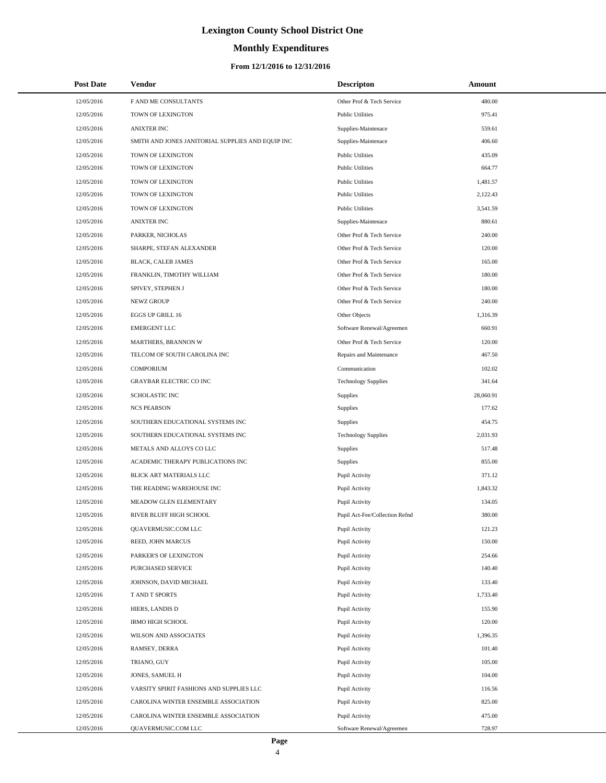# **Monthly Expenditures**

| <b>Post Date</b> | Vendor                                            | <b>Descripton</b>              | Amount    |
|------------------|---------------------------------------------------|--------------------------------|-----------|
| 12/05/2016       | F AND ME CONSULTANTS                              | Other Prof & Tech Service      | 480.00    |
| 12/05/2016       | TOWN OF LEXINGTON                                 | <b>Public Utilities</b>        | 975.41    |
| 12/05/2016       | <b>ANIXTER INC</b>                                | Supplies-Maintenace            | 559.61    |
| 12/05/2016       | SMITH AND JONES JANITORIAL SUPPLIES AND EQUIP INC | Supplies-Maintenace            | 406.60    |
| 12/05/2016       | TOWN OF LEXINGTON                                 | <b>Public Utilities</b>        | 435.09    |
| 12/05/2016       | TOWN OF LEXINGTON                                 | <b>Public Utilities</b>        | 664.77    |
| 12/05/2016       | TOWN OF LEXINGTON                                 | <b>Public Utilities</b>        | 1,481.57  |
| 12/05/2016       | TOWN OF LEXINGTON                                 | <b>Public Utilities</b>        | 2,122.43  |
| 12/05/2016       | TOWN OF LEXINGTON                                 | <b>Public Utilities</b>        | 3,541.59  |
| 12/05/2016       | <b>ANIXTER INC</b>                                | Supplies-Maintenace            | 880.61    |
| 12/05/2016       | PARKER, NICHOLAS                                  | Other Prof & Tech Service      | 240.00    |
| 12/05/2016       | SHARPE, STEFAN ALEXANDER                          | Other Prof & Tech Service      | 120.00    |
| 12/05/2016       | BLACK, CALEB JAMES                                | Other Prof & Tech Service      | 165.00    |
| 12/05/2016       | FRANKLIN, TIMOTHY WILLIAM                         | Other Prof & Tech Service      | 180.00    |
| 12/05/2016       | SPIVEY, STEPHEN J                                 | Other Prof & Tech Service      | 180.00    |
| 12/05/2016       | NEWZ GROUP                                        | Other Prof & Tech Service      | 240.00    |
| 12/05/2016       | EGGS UP GRILL 16                                  | Other Objects                  | 1,316.39  |
| 12/05/2016       | <b>EMERGENT LLC</b>                               | Software Renewal/Agreemen      | 660.91    |
| 12/05/2016       | MARTHERS, BRANNON W                               | Other Prof & Tech Service      | 120.00    |
| 12/05/2016       | TELCOM OF SOUTH CAROLINA INC                      | Repairs and Maintenance        | 467.50    |
| 12/05/2016       | <b>COMPORIUM</b>                                  | Communication                  | 102.02    |
| 12/05/2016       | <b>GRAYBAR ELECTRIC CO INC</b>                    | <b>Technology Supplies</b>     | 341.64    |
| 12/05/2016       | <b>SCHOLASTIC INC</b>                             | Supplies                       | 28,060.91 |
| 12/05/2016       | <b>NCS PEARSON</b>                                | Supplies                       | 177.62    |
| 12/05/2016       | SOUTHERN EDUCATIONAL SYSTEMS INC                  | Supplies                       | 454.75    |
| 12/05/2016       | SOUTHERN EDUCATIONAL SYSTEMS INC                  | <b>Technology Supplies</b>     | 2,031.93  |
| 12/05/2016       | METALS AND ALLOYS CO LLC                          | Supplies                       | 517.48    |
| 12/05/2016       | ACADEMIC THERAPY PUBLICATIONS INC                 | Supplies                       | 855.00    |
| 12/05/2016       | BLICK ART MATERIALS LLC                           | Pupil Activity                 | 371.12    |
| 12/05/2016       | THE READING WAREHOUSE INC                         | Pupil Activity                 | 1,843.32  |
| 12/05/2016       | MEADOW GLEN ELEMENTARY                            | Pupil Activity                 | 134.05    |
| 12/05/2016       | <b>RIVER BLUFF HIGH SCHOOL</b>                    | Pupil Act-Fee/Collection Refnd | 380.00    |
| 12/05/2016       | QUAVERMUSIC.COM LLC                               | Pupil Activity                 | 121.23    |
| 12/05/2016       | REED, JOHN MARCUS                                 | Pupil Activity                 | 150.00    |
| 12/05/2016       | PARKER'S OF LEXINGTON                             | Pupil Activity                 | 254.66    |
| 12/05/2016       | PURCHASED SERVICE                                 | Pupil Activity                 | 140.40    |
| 12/05/2016       | JOHNSON, DAVID MICHAEL                            | Pupil Activity                 | 133.40    |
| 12/05/2016       | T AND T SPORTS                                    | Pupil Activity                 | 1,733.40  |
| 12/05/2016       | HIERS, LANDIS D                                   | Pupil Activity                 | 155.90    |
| 12/05/2016       | <b>IRMO HIGH SCHOOL</b>                           | Pupil Activity                 | 120.00    |
| 12/05/2016       | WILSON AND ASSOCIATES                             | Pupil Activity                 | 1,396.35  |
| 12/05/2016       | RAMSEY, DERRA                                     | Pupil Activity                 | 101.40    |
| 12/05/2016       | TRIANO, GUY                                       | Pupil Activity                 | 105.00    |
| 12/05/2016       | JONES, SAMUEL H                                   | Pupil Activity                 | 104.00    |
| 12/05/2016       | VARSITY SPIRIT FASHIONS AND SUPPLIES LLC          | Pupil Activity                 | 116.56    |
| 12/05/2016       | CAROLINA WINTER ENSEMBLE ASSOCIATION              | Pupil Activity                 | 825.00    |
| 12/05/2016       | CAROLINA WINTER ENSEMBLE ASSOCIATION              | Pupil Activity                 | 475.00    |
| 12/05/2016       | QUAVERMUSIC.COM LLC                               | Software Renewal/Agreemen      | 728.97    |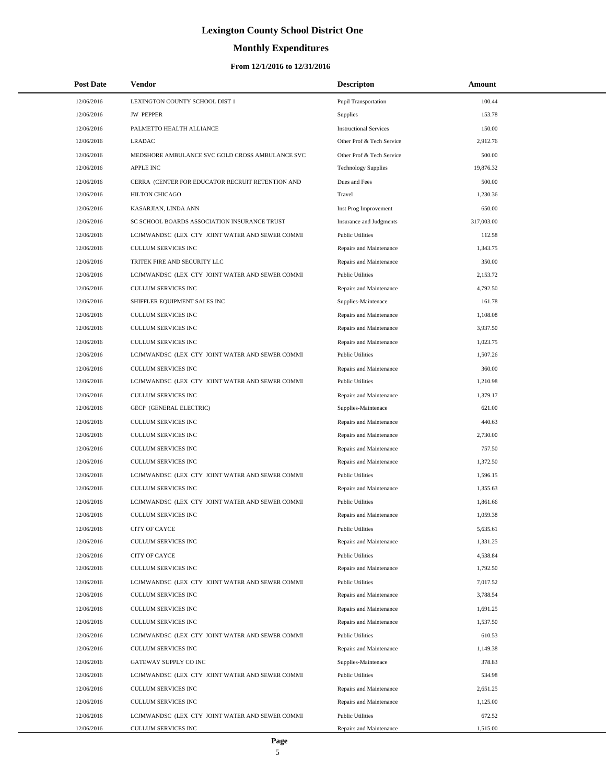# **Monthly Expenditures**

| <b>Post Date</b> | Vendor                                           | <b>Descripton</b>             | Amount     |
|------------------|--------------------------------------------------|-------------------------------|------------|
| 12/06/2016       | LEXINGTON COUNTY SCHOOL DIST 1                   | Pupil Transportation          | 100.44     |
| 12/06/2016       | <b>JW PEPPER</b>                                 | Supplies                      | 153.78     |
| 12/06/2016       | PALMETTO HEALTH ALLIANCE                         | <b>Instructional Services</b> | 150.00     |
| 12/06/2016       | <b>LRADAC</b>                                    | Other Prof & Tech Service     | 2,912.76   |
| 12/06/2016       | MEDSHORE AMBULANCE SVC GOLD CROSS AMBULANCE SVC  | Other Prof & Tech Service     | 500.00     |
| 12/06/2016       | <b>APPLE INC</b>                                 | <b>Technology Supplies</b>    | 19,876.32  |
| 12/06/2016       | CERRA (CENTER FOR EDUCATOR RECRUIT RETENTION AND | Dues and Fees                 | 500.00     |
| 12/06/2016       | <b>HILTON CHICAGO</b>                            | Travel                        | 1,230.36   |
| 12/06/2016       | KASARJIAN, LINDA ANN                             | Inst Prog Improvement         | 650.00     |
| 12/06/2016       | SC SCHOOL BOARDS ASSOCIATION INSURANCE TRUST     | Insurance and Judgments       | 317,003.00 |
| 12/06/2016       | LCJMWANDSC (LEX CTY JOINT WATER AND SEWER COMMI  | <b>Public Utilities</b>       | 112.58     |
| 12/06/2016       | <b>CULLUM SERVICES INC</b>                       | Repairs and Maintenance       | 1,343.75   |
| 12/06/2016       | TRITEK FIRE AND SECURITY LLC                     | Repairs and Maintenance       | 350.00     |
| 12/06/2016       | LCJMWANDSC (LEX CTY JOINT WATER AND SEWER COMMI  | <b>Public Utilities</b>       | 2,153.72   |
| 12/06/2016       | CULLUM SERVICES INC                              | Repairs and Maintenance       | 4,792.50   |
| 12/06/2016       | SHIFFLER EQUIPMENT SALES INC                     | Supplies-Maintenace           | 161.78     |
| 12/06/2016       | CULLUM SERVICES INC                              | Repairs and Maintenance       | 1,108.08   |
| 12/06/2016       | CULLUM SERVICES INC                              | Repairs and Maintenance       | 3,937.50   |
| 12/06/2016       | CULLUM SERVICES INC                              | Repairs and Maintenance       | 1,023.75   |
| 12/06/2016       | LCJMWANDSC (LEX CTY JOINT WATER AND SEWER COMMI  | <b>Public Utilities</b>       | 1,507.26   |
| 12/06/2016       | CULLUM SERVICES INC                              | Repairs and Maintenance       | 360.00     |
| 12/06/2016       | LCJMWANDSC (LEX CTY JOINT WATER AND SEWER COMMI  | <b>Public Utilities</b>       | 1,210.98   |
| 12/06/2016       | CULLUM SERVICES INC                              | Repairs and Maintenance       | 1,379.17   |
| 12/06/2016       | GECP (GENERAL ELECTRIC)                          | Supplies-Maintenace           | 621.00     |
| 12/06/2016       | CULLUM SERVICES INC                              | Repairs and Maintenance       | 440.63     |
| 12/06/2016       | CULLUM SERVICES INC                              | Repairs and Maintenance       | 2,730.00   |
| 12/06/2016       | CULLUM SERVICES INC                              | Repairs and Maintenance       | 757.50     |
| 12/06/2016       | <b>CULLUM SERVICES INC</b>                       | Repairs and Maintenance       | 1,372.50   |
| 12/06/2016       | LCJMWANDSC (LEX CTY JOINT WATER AND SEWER COMMI  | <b>Public Utilities</b>       | 1,596.15   |
| 12/06/2016       | CULLUM SERVICES INC                              | Repairs and Maintenance       | 1,355.63   |
| 12/06/2016       | LCJMWANDSC (LEX CTY JOINT WATER AND SEWER COMMI  | <b>Public Utilities</b>       | 1,861.66   |
| 12/06/2016       | CULLUM SERVICES INC                              | Repairs and Maintenance       | 1,059.38   |
| 12/06/2016       | <b>CITY OF CAYCE</b>                             | <b>Public Utilities</b>       | 5,635.61   |
| 12/06/2016       | <b>CULLUM SERVICES INC</b>                       | Repairs and Maintenance       | 1,331.25   |
| 12/06/2016       | CITY OF CAYCE                                    | <b>Public Utilities</b>       | 4,538.84   |
| 12/06/2016       | CULLUM SERVICES INC                              | Repairs and Maintenance       | 1,792.50   |
| 12/06/2016       | LCJMWANDSC (LEX CTY JOINT WATER AND SEWER COMMI  | <b>Public Utilities</b>       | 7,017.52   |
| 12/06/2016       | CULLUM SERVICES INC                              | Repairs and Maintenance       | 3,788.54   |
| 12/06/2016       | CULLUM SERVICES INC                              | Repairs and Maintenance       | 1,691.25   |
| 12/06/2016       | CULLUM SERVICES INC                              | Repairs and Maintenance       | 1,537.50   |
| 12/06/2016       | LCJMWANDSC (LEX CTY JOINT WATER AND SEWER COMMI  | <b>Public Utilities</b>       | 610.53     |
| 12/06/2016       | CULLUM SERVICES INC                              | Repairs and Maintenance       | 1,149.38   |
| 12/06/2016       | GATEWAY SUPPLY CO INC                            | Supplies-Maintenace           | 378.83     |
| 12/06/2016       | LCJMWANDSC (LEX CTY JOINT WATER AND SEWER COMMI  | <b>Public Utilities</b>       | 534.98     |
| 12/06/2016       | CULLUM SERVICES INC                              | Repairs and Maintenance       | 2,651.25   |
| 12/06/2016       | CULLUM SERVICES INC                              | Repairs and Maintenance       | 1,125.00   |
| 12/06/2016       | LCJMWANDSC (LEX CTY JOINT WATER AND SEWER COMMI  | <b>Public Utilities</b>       | 672.52     |
| 12/06/2016       | CULLUM SERVICES INC                              | Repairs and Maintenance       | 1,515.00   |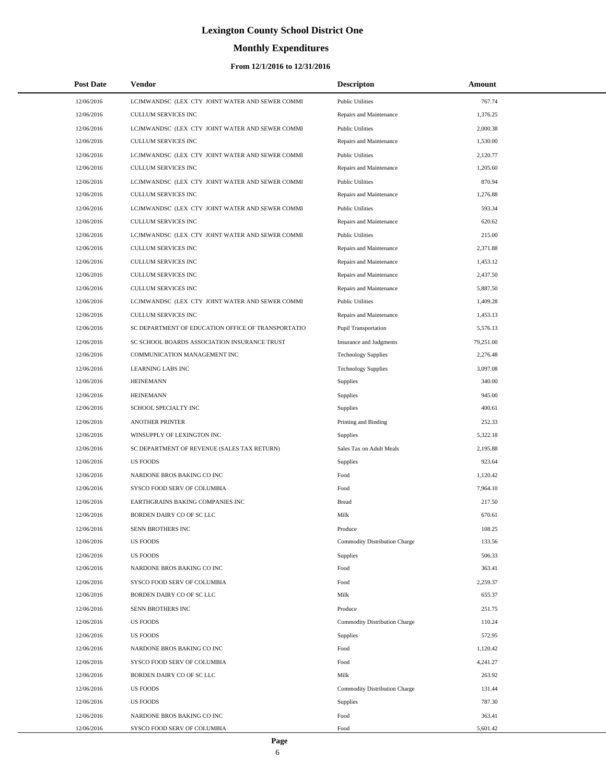# **Monthly Expenditures**

### **From 12/1/2016 to 12/31/2016**

| <b>Post Date</b> | Vendor                                             | <b>Descripton</b>             | Amount    |
|------------------|----------------------------------------------------|-------------------------------|-----------|
| 12/06/2016       | LCJMWANDSC (LEX CTY JOINT WATER AND SEWER COMMI    | <b>Public Utilities</b>       | 767.74    |
| 12/06/2016       | CULLUM SERVICES INC                                | Repairs and Maintenance       | 1,376.25  |
| 12/06/2016       | LCJMWANDSC (LEX CTY JOINT WATER AND SEWER COMMI    | <b>Public Utilities</b>       | 2,000.38  |
| 12/06/2016       | <b>CULLUM SERVICES INC</b>                         | Repairs and Maintenance       | 1,530.00  |
| 12/06/2016       | LCJMWANDSC (LEX CTY JOINT WATER AND SEWER COMMI    | <b>Public Utilities</b>       | 2,120.77  |
| 12/06/2016       | CULLUM SERVICES INC                                | Repairs and Maintenance       | 1,205.60  |
| 12/06/2016       | LCJMWANDSC (LEX CTY JOINT WATER AND SEWER COMMI    | <b>Public Utilities</b>       | 870.94    |
| 12/06/2016       | CULLUM SERVICES INC                                | Repairs and Maintenance       | 1,276.88  |
| 12/06/2016       | LCJMWANDSC (LEX CTY JOINT WATER AND SEWER COMMI    | <b>Public Utilities</b>       | 593.34    |
| 12/06/2016       | CULLUM SERVICES INC                                | Repairs and Maintenance       | 620.62    |
| 12/06/2016       | LCJMWANDSC (LEX CTY JOINT WATER AND SEWER COMMI    | <b>Public Utilities</b>       | 215.00    |
| 12/06/2016       | CULLUM SERVICES INC                                | Repairs and Maintenance       | 2,371.88  |
| 12/06/2016       | CULLUM SERVICES INC                                | Repairs and Maintenance       | 1,453.12  |
| 12/06/2016       | CULLUM SERVICES INC                                | Repairs and Maintenance       | 2,437.50  |
| 12/06/2016       | CULLUM SERVICES INC                                | Repairs and Maintenance       | 5,887.50  |
| 12/06/2016       | LCJMWANDSC (LEX CTY JOINT WATER AND SEWER COMMI    | <b>Public Utilities</b>       | 1,409.28  |
| 12/06/2016       | CULLUM SERVICES INC                                | Repairs and Maintenance       | 1,453.13  |
| 12/06/2016       | SC DEPARTMENT OF EDUCATION OFFICE OF TRANSPORTATIO | <b>Pupil Transportation</b>   | 5,576.13  |
| 12/06/2016       | SC SCHOOL BOARDS ASSOCIATION INSURANCE TRUST       | Insurance and Judgments       | 79,251.00 |
| 12/06/2016       | COMMUNICATION MANAGEMENT INC                       | <b>Technology Supplies</b>    | 2,276.48  |
| 12/06/2016       | <b>LEARNING LABS INC</b>                           | <b>Technology Supplies</b>    | 3,097.08  |
| 12/06/2016       | <b>HEINEMANN</b>                                   | Supplies                      | 340.00    |
| 12/06/2016       | <b>HEINEMANN</b>                                   | Supplies                      | 945.00    |
| 12/06/2016       | SCHOOL SPECIALTY INC                               | Supplies                      | 400.61    |
| 12/06/2016       | <b>ANOTHER PRINTER</b>                             | Printing and Binding          | 252.33    |
| 12/06/2016       | WINSUPPLY OF LEXINGTON INC                         | Supplies                      | 5,322.18  |
| 12/06/2016       | SC DEPARTMENT OF REVENUE (SALES TAX RETURN)        | Sales Tax on Adult Meals      | 2,195.88  |
| 12/06/2016       | <b>US FOODS</b>                                    | Supplies                      | 923.64    |
| 12/06/2016       | NARDONE BROS BAKING CO INC                         | Food                          | 1,120.42  |
| 12/06/2016       | SYSCO FOOD SERV OF COLUMBIA                        | Food                          | 7,964.10  |
| 12/06/2016       | EARTHGRAINS BAKING COMPANIES INC                   | <b>Bread</b>                  | 217.50    |
| 12/06/2016       | <b>BORDEN DAIRY CO OF SC LLC</b>                   | Milk                          | 670.61    |
| 12/06/2016       | SENN BROTHERS INC                                  | Produce                       | 108.25    |
| 12/06/2016       | <b>US FOODS</b>                                    | Commodity Distribution Charge | 133.56    |
| 12/06/2016       | <b>US FOODS</b>                                    | Supplies                      | 506.33    |
| 12/06/2016       | NARDONE BROS BAKING CO INC                         | Food                          | 363.41    |
| 12/06/2016       | SYSCO FOOD SERV OF COLUMBIA                        | Food                          | 2,259.37  |
| 12/06/2016       | BORDEN DAIRY CO OF SC LLC                          | Milk                          | 655.37    |
| 12/06/2016       | SENN BROTHERS INC                                  | Produce                       | 251.75    |
| 12/06/2016       | <b>US FOODS</b>                                    | Commodity Distribution Charge | 110.24    |
| 12/06/2016       | <b>US FOODS</b>                                    | Supplies                      | 572.95    |
| 12/06/2016       | NARDONE BROS BAKING CO INC                         | Food                          | 1,120.42  |
| 12/06/2016       | SYSCO FOOD SERV OF COLUMBIA                        | Food                          | 4,241.27  |
| 12/06/2016       | BORDEN DAIRY CO OF SC LLC                          | Milk                          | 263.92    |
| 12/06/2016       | <b>US FOODS</b>                                    | Commodity Distribution Charge | 131.44    |
| 12/06/2016       | <b>US FOODS</b>                                    | Supplies                      | 787.30    |
| 12/06/2016       | NARDONE BROS BAKING CO INC                         | Food                          | 363.41    |
| 12/06/2016       | SYSCO FOOD SERV OF COLUMBIA                        | Food                          | 5,601.42  |

L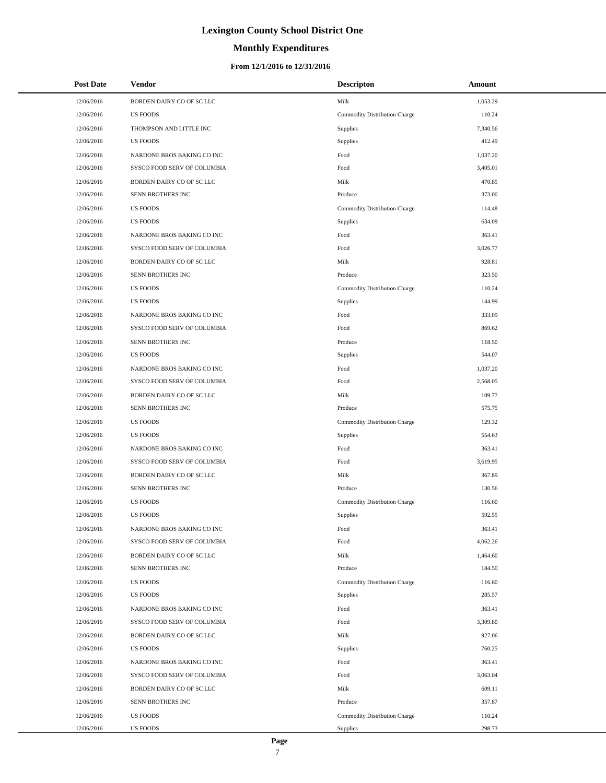### **Monthly Expenditures**

### **From 12/1/2016 to 12/31/2016**

| <b>Post Date</b> | <b>Vendor</b>               | <b>Descripton</b>             | <b>Amount</b> |
|------------------|-----------------------------|-------------------------------|---------------|
| 12/06/2016       | BORDEN DAIRY CO OF SC LLC   | Milk                          | 1,053.29      |
| 12/06/2016       | <b>US FOODS</b>             | Commodity Distribution Charge | 110.24        |
| 12/06/2016       | THOMPSON AND LITTLE INC     | Supplies                      | 7,340.56      |
| 12/06/2016       | <b>US FOODS</b>             | Supplies                      | 412.49        |
| 12/06/2016       | NARDONE BROS BAKING CO INC  | Food                          | 1,037.20      |
| 12/06/2016       | SYSCO FOOD SERV OF COLUMBIA | Food                          | 3,405.01      |
| 12/06/2016       | BORDEN DAIRY CO OF SC LLC   | Milk                          | 470.85        |
| 12/06/2016       | SENN BROTHERS INC           | Produce                       | 373.00        |
| 12/06/2016       | <b>US FOODS</b>             | Commodity Distribution Charge | 114.48        |
| 12/06/2016       | <b>US FOODS</b>             | Supplies                      | 634.09        |
| 12/06/2016       | NARDONE BROS BAKING CO INC  | Food                          | 363.41        |
| 12/06/2016       | SYSCO FOOD SERV OF COLUMBIA | Food                          | 3,026.77      |
| 12/06/2016       | BORDEN DAIRY CO OF SC LLC   | Milk                          | 928.81        |
| 12/06/2016       | SENN BROTHERS INC           | Produce                       | 323.50        |
| 12/06/2016       | <b>US FOODS</b>             | Commodity Distribution Charge | 110.24        |
| 12/06/2016       | <b>US FOODS</b>             | Supplies                      | 144.99        |
| 12/06/2016       | NARDONE BROS BAKING CO INC  | Food                          | 333.09        |
| 12/06/2016       | SYSCO FOOD SERV OF COLUMBIA | Food                          | 869.62        |
| 12/06/2016       | SENN BROTHERS INC           | Produce                       | 118.50        |
| 12/06/2016       | <b>US FOODS</b>             | Supplies                      | 544.07        |
| 12/06/2016       | NARDONE BROS BAKING CO INC  | Food                          | 1,037.20      |
| 12/06/2016       | SYSCO FOOD SERV OF COLUMBIA | Food                          | 2,568.05      |
| 12/06/2016       | BORDEN DAIRY CO OF SC LLC   | Milk                          | 109.77        |
| 12/06/2016       | SENN BROTHERS INC           | Produce                       | 575.75        |
| 12/06/2016       | <b>US FOODS</b>             | Commodity Distribution Charge | 129.32        |
| 12/06/2016       | <b>US FOODS</b>             | Supplies                      | 554.63        |
| 12/06/2016       | NARDONE BROS BAKING CO INC  | Food                          | 363.41        |
| 12/06/2016       | SYSCO FOOD SERV OF COLUMBIA | Food                          | 3,619.95      |
| 12/06/2016       | BORDEN DAIRY CO OF SC LLC   | Milk                          | 367.89        |
| 12/06/2016       | SENN BROTHERS INC           | Produce                       | 130.56        |
| 12/06/2016       | <b>US FOODS</b>             | Commodity Distribution Charge | 116.60        |
| 12/06/2016       | <b>US FOODS</b>             | Supplies                      | 592.55        |
| 12/06/2016       | NARDONE BROS BAKING CO INC  | Food                          | 363.41        |
| 12/06/2016       | SYSCO FOOD SERV OF COLUMBIA | Food                          | 4,062.26      |
| 12/06/2016       | BORDEN DAIRY CO OF SC LLC   | Milk                          | 1,464.60      |
| 12/06/2016       | SENN BROTHERS INC           | Produce                       | 184.50        |
| 12/06/2016       | <b>US FOODS</b>             | Commodity Distribution Charge | 116.60        |
| 12/06/2016       | <b>US FOODS</b>             | Supplies                      | 285.57        |
| 12/06/2016       | NARDONE BROS BAKING CO INC  | Food                          | 363.41        |
| 12/06/2016       | SYSCO FOOD SERV OF COLUMBIA | Food                          | 3,309.80      |
| 12/06/2016       | BORDEN DAIRY CO OF SC LLC   | Milk                          | 927.06        |
| 12/06/2016       | <b>US FOODS</b>             | Supplies                      | 760.25        |
| 12/06/2016       | NARDONE BROS BAKING CO INC  | Food                          | 363.41        |
| 12/06/2016       | SYSCO FOOD SERV OF COLUMBIA | Food                          | 3,063.04      |
| 12/06/2016       | BORDEN DAIRY CO OF SC LLC   | Milk                          | 609.11        |
| 12/06/2016       | SENN BROTHERS INC           | Produce                       | 357.87        |
| 12/06/2016       | <b>US FOODS</b>             | Commodity Distribution Charge | 110.24        |
| 12/06/2016       | <b>US FOODS</b>             | Supplies                      | 298.73        |

÷.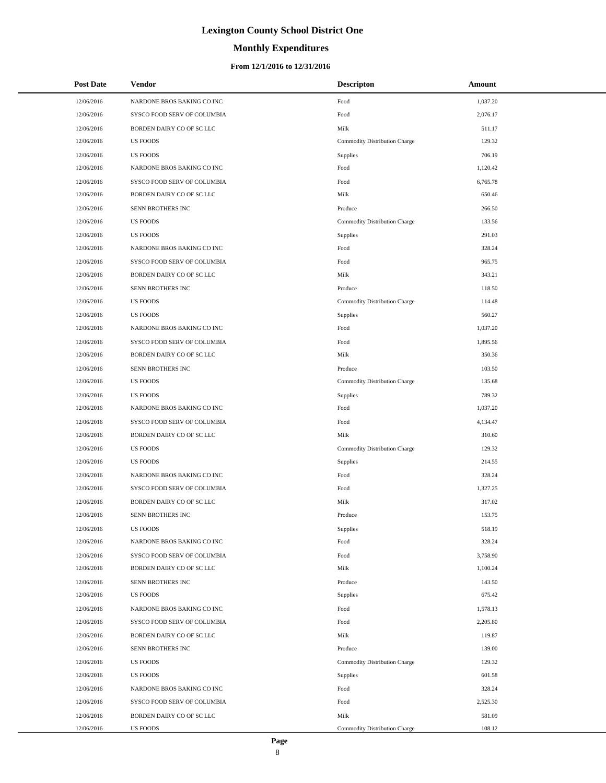### **Monthly Expenditures**

### **From 12/1/2016 to 12/31/2016**

| <b>Post Date</b> | <b>Vendor</b>               | <b>Descripton</b>             | Amount   |
|------------------|-----------------------------|-------------------------------|----------|
| 12/06/2016       | NARDONE BROS BAKING CO INC  | Food                          | 1,037.20 |
| 12/06/2016       | SYSCO FOOD SERV OF COLUMBIA | Food                          | 2,076.17 |
| 12/06/2016       | BORDEN DAIRY CO OF SC LLC   | Milk                          | 511.17   |
| 12/06/2016       | <b>US FOODS</b>             | Commodity Distribution Charge | 129.32   |
| 12/06/2016       | <b>US FOODS</b>             | Supplies                      | 706.19   |
| 12/06/2016       | NARDONE BROS BAKING CO INC  | Food                          | 1,120.42 |
| 12/06/2016       | SYSCO FOOD SERV OF COLUMBIA | Food                          | 6,765.78 |
| 12/06/2016       | BORDEN DAIRY CO OF SC LLC   | Milk                          | 650.46   |
| 12/06/2016       | SENN BROTHERS INC           | Produce                       | 266.50   |
| 12/06/2016       | <b>US FOODS</b>             | Commodity Distribution Charge | 133.56   |
| 12/06/2016       | <b>US FOODS</b>             | <b>Supplies</b>               | 291.03   |
| 12/06/2016       | NARDONE BROS BAKING CO INC  | Food                          | 328.24   |
| 12/06/2016       | SYSCO FOOD SERV OF COLUMBIA | Food                          | 965.75   |
| 12/06/2016       | BORDEN DAIRY CO OF SC LLC   | Milk                          | 343.21   |
| 12/06/2016       | SENN BROTHERS INC           | Produce                       | 118.50   |
| 12/06/2016       | <b>US FOODS</b>             | Commodity Distribution Charge | 114.48   |
| 12/06/2016       | <b>US FOODS</b>             | <b>Supplies</b>               | 560.27   |
| 12/06/2016       | NARDONE BROS BAKING CO INC  | $\operatorname*{Food}$        | 1,037.20 |
| 12/06/2016       | SYSCO FOOD SERV OF COLUMBIA | Food                          | 1,895.56 |
| 12/06/2016       | BORDEN DAIRY CO OF SC LLC   | Milk                          | 350.36   |
| 12/06/2016       | SENN BROTHERS INC           | Produce                       | 103.50   |
| 12/06/2016       | <b>US FOODS</b>             | Commodity Distribution Charge | 135.68   |
| 12/06/2016       | <b>US FOODS</b>             | <b>Supplies</b>               | 789.32   |
| 12/06/2016       | NARDONE BROS BAKING CO INC  | Food                          | 1,037.20 |
| 12/06/2016       | SYSCO FOOD SERV OF COLUMBIA | Food                          | 4,134.47 |
| 12/06/2016       | BORDEN DAIRY CO OF SC LLC   | Milk                          | 310.60   |
| 12/06/2016       | <b>US FOODS</b>             | Commodity Distribution Charge | 129.32   |
| 12/06/2016       | <b>US FOODS</b>             | <b>Supplies</b>               | 214.55   |
| 12/06/2016       | NARDONE BROS BAKING CO INC  | Food                          | 328.24   |
| 12/06/2016       | SYSCO FOOD SERV OF COLUMBIA | Food                          | 1,327.25 |
| 12/06/2016       | BORDEN DAIRY CO OF SC LLC   | Milk                          | 317.02   |
| 12/06/2016       | SENN BROTHERS INC           | Produce                       | 153.75   |
| 12/06/2016       | <b>US FOODS</b>             | Supplies                      | 518.19   |
| 12/06/2016       | NARDONE BROS BAKING CO INC  | Food                          | 328.24   |
| 12/06/2016       | SYSCO FOOD SERV OF COLUMBIA | Food                          | 3,758.90 |
| 12/06/2016       | BORDEN DAIRY CO OF SC LLC   | Milk                          | 1,100.24 |
| 12/06/2016       | SENN BROTHERS INC           | Produce                       | 143.50   |
| 12/06/2016       | <b>US FOODS</b>             | <b>Supplies</b>               | 675.42   |
| 12/06/2016       | NARDONE BROS BAKING CO INC  | Food                          | 1,578.13 |
| 12/06/2016       | SYSCO FOOD SERV OF COLUMBIA | Food                          | 2,205.80 |
| 12/06/2016       | BORDEN DAIRY CO OF SC LLC   | Milk                          | 119.87   |
| 12/06/2016       | SENN BROTHERS INC           | Produce                       | 139.00   |
| 12/06/2016       | <b>US FOODS</b>             | Commodity Distribution Charge | 129.32   |
| 12/06/2016       | <b>US FOODS</b>             | <b>Supplies</b>               | 601.58   |
| 12/06/2016       | NARDONE BROS BAKING CO INC  | Food                          | 328.24   |
| 12/06/2016       | SYSCO FOOD SERV OF COLUMBIA | Food                          | 2,525.30 |
| 12/06/2016       | BORDEN DAIRY CO OF SC LLC   | Milk                          | 581.09   |
| 12/06/2016       | US FOODS                    | Commodity Distribution Charge | 108.12   |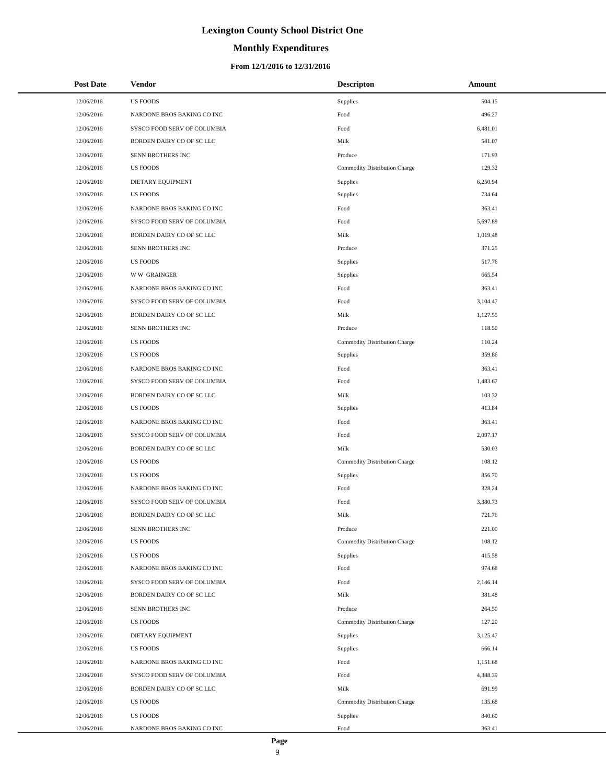### **Monthly Expenditures**

### **From 12/1/2016 to 12/31/2016**

| <b>Post Date</b> | Vendor                      | <b>Descripton</b>             | Amount   |
|------------------|-----------------------------|-------------------------------|----------|
| 12/06/2016       | <b>US FOODS</b>             | Supplies                      | 504.15   |
| 12/06/2016       | NARDONE BROS BAKING CO INC  | Food                          | 496.27   |
| 12/06/2016       | SYSCO FOOD SERV OF COLUMBIA | Food                          | 6,481.01 |
| 12/06/2016       | BORDEN DAIRY CO OF SC LLC   | Milk                          | 541.07   |
| 12/06/2016       | SENN BROTHERS INC           | Produce                       | 171.93   |
| 12/06/2016       | <b>US FOODS</b>             | Commodity Distribution Charge | 129.32   |
| 12/06/2016       | DIETARY EQUIPMENT           | Supplies                      | 6,250.94 |
| 12/06/2016       | <b>US FOODS</b>             | Supplies                      | 734.64   |
| 12/06/2016       | NARDONE BROS BAKING CO INC  | Food                          | 363.41   |
| 12/06/2016       | SYSCO FOOD SERV OF COLUMBIA | Food                          | 5,697.89 |
| 12/06/2016       | BORDEN DAIRY CO OF SC LLC   | Milk                          | 1,019.48 |
| 12/06/2016       | SENN BROTHERS INC           | Produce                       | 371.25   |
| 12/06/2016       | <b>US FOODS</b>             | Supplies                      | 517.76   |
| 12/06/2016       | <b>WW GRAINGER</b>          | Supplies                      | 665.54   |
| 12/06/2016       | NARDONE BROS BAKING CO INC  | Food                          | 363.41   |
| 12/06/2016       | SYSCO FOOD SERV OF COLUMBIA | Food                          | 3,104.47 |
| 12/06/2016       | BORDEN DAIRY CO OF SC LLC   | Milk                          | 1.127.55 |
| 12/06/2016       | SENN BROTHERS INC           | Produce                       | 118.50   |
| 12/06/2016       | <b>US FOODS</b>             | Commodity Distribution Charge | 110.24   |
| 12/06/2016       | <b>US FOODS</b>             | Supplies                      | 359.86   |
| 12/06/2016       | NARDONE BROS BAKING CO INC  | Food                          | 363.41   |
| 12/06/2016       | SYSCO FOOD SERV OF COLUMBIA | Food                          | 1,483.67 |
| 12/06/2016       | BORDEN DAIRY CO OF SC LLC   | Milk                          | 103.32   |
| 12/06/2016       | <b>US FOODS</b>             | Supplies                      | 413.84   |
| 12/06/2016       | NARDONE BROS BAKING CO INC  | Food                          | 363.41   |
| 12/06/2016       | SYSCO FOOD SERV OF COLUMBIA | Food                          | 2,097.17 |
| 12/06/2016       | BORDEN DAIRY CO OF SC LLC   | Milk                          | 530.03   |
| 12/06/2016       | <b>US FOODS</b>             | Commodity Distribution Charge | 108.12   |
| 12/06/2016       | <b>US FOODS</b>             | Supplies                      | 856.70   |
| 12/06/2016       | NARDONE BROS BAKING CO INC  | Food                          | 328.24   |
| 12/06/2016       | SYSCO FOOD SERV OF COLUMBIA | Food                          | 3,380.73 |
| 12/06/2016       | BORDEN DAIRY CO OF SC LLC   | Milk                          | 721.76   |
| 12/06/2016       | SENN BROTHERS INC           | Produce                       | 221.00   |
| 12/06/2016       | <b>US FOODS</b>             | Commodity Distribution Charge | 108.12   |
| 12/06/2016       | <b>US FOODS</b>             | Supplies                      | 415.58   |
| 12/06/2016       | NARDONE BROS BAKING CO INC  | Food                          | 974.68   |
| 12/06/2016       | SYSCO FOOD SERV OF COLUMBIA | Food                          | 2,146.14 |
| 12/06/2016       | BORDEN DAIRY CO OF SC LLC   | Milk                          | 381.48   |
| 12/06/2016       | SENN BROTHERS INC           | Produce                       | 264.50   |
| 12/06/2016       | <b>US FOODS</b>             | Commodity Distribution Charge | 127.20   |
| 12/06/2016       | DIETARY EQUIPMENT           | Supplies                      | 3,125.47 |
| 12/06/2016       | <b>US FOODS</b>             | Supplies                      | 666.14   |
| 12/06/2016       | NARDONE BROS BAKING CO INC  | Food                          | 1,151.68 |
| 12/06/2016       | SYSCO FOOD SERV OF COLUMBIA | Food                          | 4,388.39 |
| 12/06/2016       | BORDEN DAIRY CO OF SC LLC   | Milk                          | 691.99   |
| 12/06/2016       | <b>US FOODS</b>             | Commodity Distribution Charge | 135.68   |
| 12/06/2016       | <b>US FOODS</b>             | Supplies                      | 840.60   |
| 12/06/2016       | NARDONE BROS BAKING CO INC  | Food                          | 363.41   |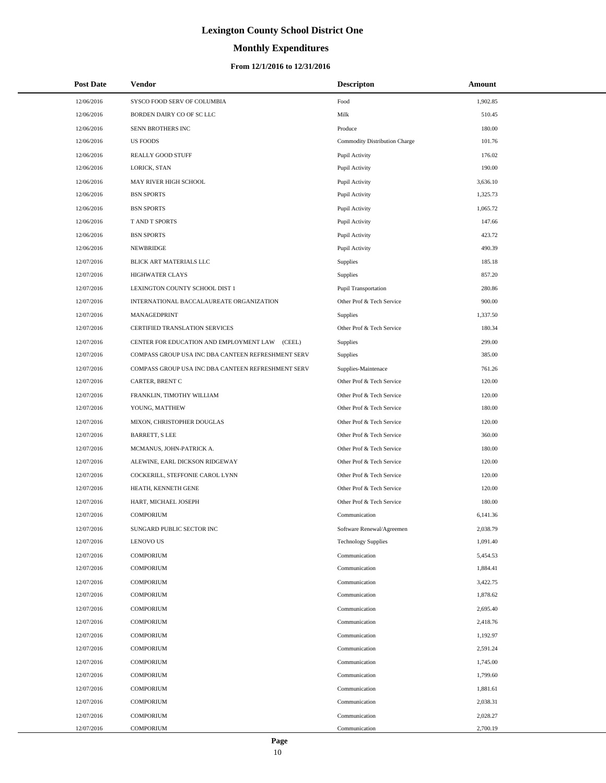# **Monthly Expenditures**

### **From 12/1/2016 to 12/31/2016**

| <b>Post Date</b> | Vendor                                             | <b>Descripton</b>             | Amount   |
|------------------|----------------------------------------------------|-------------------------------|----------|
| 12/06/2016       | SYSCO FOOD SERV OF COLUMBIA                        | Food                          | 1,902.85 |
| 12/06/2016       | BORDEN DAIRY CO OF SC LLC                          | Milk                          | 510.45   |
| 12/06/2016       | SENN BROTHERS INC                                  | Produce                       | 180.00   |
| 12/06/2016       | <b>US FOODS</b>                                    | Commodity Distribution Charge | 101.76   |
| 12/06/2016       | REALLY GOOD STUFF                                  | Pupil Activity                | 176.02   |
| 12/06/2016       | LORICK, STAN                                       | Pupil Activity                | 190.00   |
| 12/06/2016       | MAY RIVER HIGH SCHOOL                              | Pupil Activity                | 3,636.10 |
| 12/06/2016       | <b>BSN SPORTS</b>                                  | Pupil Activity                | 1,325.73 |
| 12/06/2016       | <b>BSN SPORTS</b>                                  | Pupil Activity                | 1,065.72 |
| 12/06/2016       | T AND T SPORTS                                     | Pupil Activity                | 147.66   |
| 12/06/2016       | <b>BSN SPORTS</b>                                  | Pupil Activity                | 423.72   |
| 12/06/2016       | NEWBRIDGE                                          | Pupil Activity                | 490.39   |
| 12/07/2016       | BLICK ART MATERIALS LLC                            | <b>Supplies</b>               | 185.18   |
| 12/07/2016       | <b>HIGHWATER CLAYS</b>                             | Supplies                      | 857.20   |
| 12/07/2016       | LEXINGTON COUNTY SCHOOL DIST 1                     | Pupil Transportation          | 280.86   |
| 12/07/2016       | INTERNATIONAL BACCALAUREATE ORGANIZATION           | Other Prof & Tech Service     | 900.00   |
| 12/07/2016       | MANAGEDPRINT                                       | <b>Supplies</b>               | 1,337.50 |
| 12/07/2016       | CERTIFIED TRANSLATION SERVICES                     | Other Prof & Tech Service     | 180.34   |
| 12/07/2016       | CENTER FOR EDUCATION AND EMPLOYMENT LAW (CEEL)     | Supplies                      | 299.00   |
| 12/07/2016       | COMPASS GROUP USA INC DBA CANTEEN REFRESHMENT SERV | Supplies                      | 385.00   |
| 12/07/2016       | COMPASS GROUP USA INC DBA CANTEEN REFRESHMENT SERV | Supplies-Maintenace           | 761.26   |
| 12/07/2016       | CARTER, BRENT C                                    | Other Prof & Tech Service     | 120.00   |
| 12/07/2016       | FRANKLIN, TIMOTHY WILLIAM                          | Other Prof & Tech Service     | 120.00   |
| 12/07/2016       | YOUNG, MATTHEW                                     | Other Prof & Tech Service     | 180.00   |
| 12/07/2016       | MIXON, CHRISTOPHER DOUGLAS                         | Other Prof & Tech Service     | 120.00   |
| 12/07/2016       | <b>BARRETT, S LEE</b>                              | Other Prof & Tech Service     | 360.00   |
| 12/07/2016       | MCMANUS, JOHN-PATRICK A.                           | Other Prof & Tech Service     | 180.00   |
| 12/07/2016       | ALEWINE, EARL DICKSON RIDGEWAY                     | Other Prof & Tech Service     | 120.00   |
| 12/07/2016       | COCKERILL, STEFFONIE CAROL LYNN                    | Other Prof & Tech Service     | 120.00   |
| 12/07/2016       | HEATH, KENNETH GENE                                | Other Prof & Tech Service     | 120.00   |
| 12/07/2016       | HART, MICHAEL JOSEPH                               | Other Prof & Tech Service     | 180.00   |
| 12/07/2016       | <b>COMPORIUM</b>                                   | Communication                 | 6.141.36 |
| 12/07/2016       | SUNGARD PUBLIC SECTOR INC                          | Software Renewal/Agreemen     | 2,038.79 |
| 12/07/2016       | <b>LENOVO US</b>                                   | <b>Technology Supplies</b>    | 1,091.40 |
| 12/07/2016       | <b>COMPORIUM</b>                                   | Communication                 | 5,454.53 |
| 12/07/2016       | <b>COMPORIUM</b>                                   | Communication                 | 1,884.41 |
| 12/07/2016       | <b>COMPORIUM</b>                                   | Communication                 | 3,422.75 |
| 12/07/2016       | <b>COMPORIUM</b>                                   | Communication                 | 1,878.62 |
| 12/07/2016       | <b>COMPORIUM</b>                                   | Communication                 | 2,695.40 |
| 12/07/2016       | <b>COMPORIUM</b>                                   | Communication                 | 2,418.76 |
| 12/07/2016       | <b>COMPORIUM</b>                                   | Communication                 | 1,192.97 |
| 12/07/2016       | <b>COMPORIUM</b>                                   | Communication                 | 2,591.24 |
| 12/07/2016       | <b>COMPORIUM</b>                                   | Communication                 | 1,745.00 |
| 12/07/2016       | <b>COMPORIUM</b>                                   | Communication                 | 1,799.60 |
| 12/07/2016       | <b>COMPORIUM</b>                                   | Communication                 | 1,881.61 |
| 12/07/2016       | <b>COMPORIUM</b>                                   | Communication                 | 2,038.31 |
| 12/07/2016       | <b>COMPORIUM</b>                                   | Communication                 | 2,028.27 |
| 12/07/2016       | <b>COMPORIUM</b>                                   | Communication                 | 2,700.19 |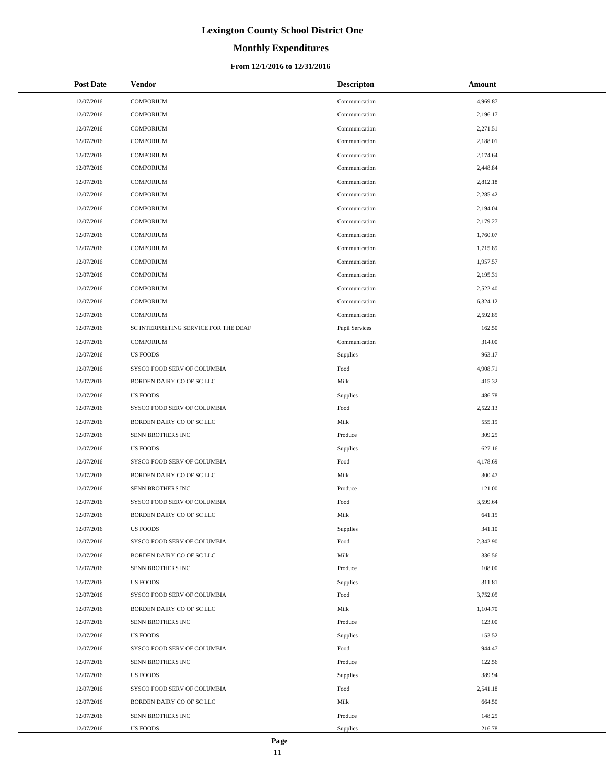# **Monthly Expenditures**

### **From 12/1/2016 to 12/31/2016**

| <b>Post Date</b> | Vendor                               | <b>Descripton</b>     | Amount   |
|------------------|--------------------------------------|-----------------------|----------|
| 12/07/2016       | <b>COMPORIUM</b>                     | Communication         | 4,969.87 |
| 12/07/2016       | <b>COMPORIUM</b>                     | Communication         | 2,196.17 |
| 12/07/2016       | <b>COMPORIUM</b>                     | Communication         | 2,271.51 |
| 12/07/2016       | <b>COMPORIUM</b>                     | Communication         | 2,188.01 |
| 12/07/2016       | <b>COMPORIUM</b>                     | Communication         | 2,174.64 |
| 12/07/2016       | <b>COMPORIUM</b>                     | Communication         | 2,448.84 |
| 12/07/2016       | <b>COMPORIUM</b>                     | Communication         | 2,812.18 |
| 12/07/2016       | <b>COMPORIUM</b>                     | Communication         | 2,285.42 |
| 12/07/2016       | <b>COMPORIUM</b>                     | Communication         | 2,194.04 |
| 12/07/2016       | <b>COMPORIUM</b>                     | Communication         | 2,179.27 |
| 12/07/2016       | <b>COMPORIUM</b>                     | Communication         | 1,760.07 |
| 12/07/2016       | <b>COMPORIUM</b>                     | Communication         | 1,715.89 |
| 12/07/2016       | <b>COMPORIUM</b>                     | Communication         | 1,957.57 |
| 12/07/2016       | <b>COMPORIUM</b>                     | Communication         | 2,195.31 |
| 12/07/2016       | <b>COMPORIUM</b>                     | Communication         | 2,522.40 |
| 12/07/2016       | <b>COMPORIUM</b>                     | Communication         | 6,324.12 |
| 12/07/2016       | <b>COMPORIUM</b>                     | Communication         | 2,592.85 |
| 12/07/2016       | SC INTERPRETING SERVICE FOR THE DEAF | <b>Pupil Services</b> | 162.50   |
| 12/07/2016       | <b>COMPORIUM</b>                     | Communication         | 314.00   |
| 12/07/2016       | <b>US FOODS</b>                      | Supplies              | 963.17   |
| 12/07/2016       | SYSCO FOOD SERV OF COLUMBIA          | Food                  | 4,908.71 |
| 12/07/2016       | BORDEN DAIRY CO OF SC LLC            | Milk                  | 415.32   |
| 12/07/2016       | <b>US FOODS</b>                      | Supplies              | 486.78   |
| 12/07/2016       | SYSCO FOOD SERV OF COLUMBIA          | Food                  | 2,522.13 |
| 12/07/2016       | BORDEN DAIRY CO OF SC LLC            | Milk                  | 555.19   |
| 12/07/2016       | SENN BROTHERS INC                    | Produce               | 309.25   |
| 12/07/2016       | <b>US FOODS</b>                      | Supplies              | 627.16   |
| 12/07/2016       | SYSCO FOOD SERV OF COLUMBIA          | Food                  | 4,178.69 |
| 12/07/2016       | BORDEN DAIRY CO OF SC LLC            | Milk                  | 300.47   |
| 12/07/2016       | SENN BROTHERS INC                    | Produce               | 121.00   |
| 12/07/2016       | SYSCO FOOD SERV OF COLUMBIA          | Food                  | 3,599.64 |
| 12/07/2016       | BORDEN DAIRY CO OF SC LLC            | Milk                  | 641.15   |
| 12/07/2016       | <b>US FOODS</b>                      | Supplies              | 341.10   |
| 12/07/2016       | SYSCO FOOD SERV OF COLUMBIA          | Food                  | 2,342.90 |
| 12/07/2016       | BORDEN DAIRY CO OF SC LLC            | Milk                  | 336.56   |
| 12/07/2016       | SENN BROTHERS INC                    | Produce               | 108.00   |
| 12/07/2016       | <b>US FOODS</b>                      | Supplies              | 311.81   |
| 12/07/2016       | SYSCO FOOD SERV OF COLUMBIA          | Food                  | 3,752.05 |
| 12/07/2016       | BORDEN DAIRY CO OF SC LLC            | Milk                  | 1,104.70 |
| 12/07/2016       | SENN BROTHERS INC                    | Produce               | 123.00   |
| 12/07/2016       | <b>US FOODS</b>                      | Supplies              | 153.52   |
| 12/07/2016       | SYSCO FOOD SERV OF COLUMBIA          | Food                  | 944.47   |
| 12/07/2016       | SENN BROTHERS INC                    | Produce               | 122.56   |
| 12/07/2016       | <b>US FOODS</b>                      | Supplies              | 389.94   |
| 12/07/2016       | SYSCO FOOD SERV OF COLUMBIA          | Food                  | 2,541.18 |
| 12/07/2016       | BORDEN DAIRY CO OF SC LLC            | Milk                  | 664.50   |
| 12/07/2016       | SENN BROTHERS INC                    | Produce               | 148.25   |
| 12/07/2016       | <b>US FOODS</b>                      | Supplies              | 216.78   |

÷.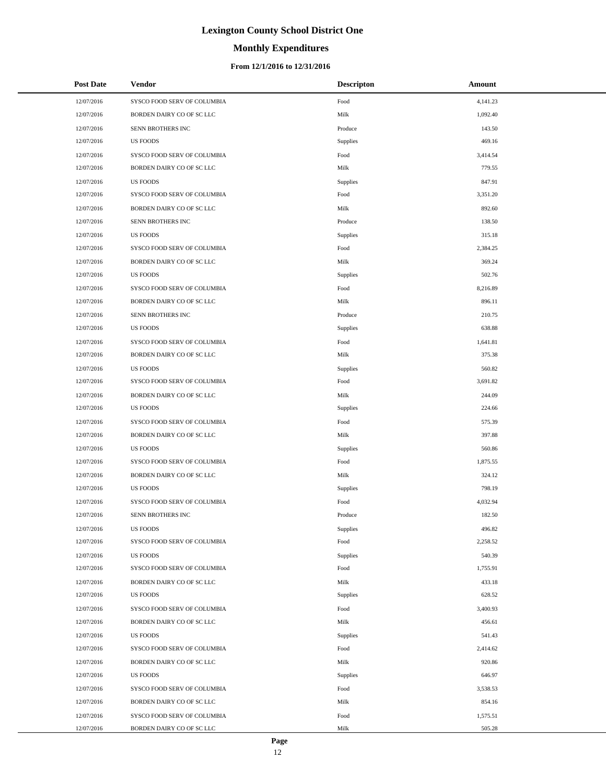# **Monthly Expenditures**

### **From 12/1/2016 to 12/31/2016**

| <b>Post Date</b> | Vendor                      | <b>Descripton</b> | Amount   |
|------------------|-----------------------------|-------------------|----------|
| 12/07/2016       | SYSCO FOOD SERV OF COLUMBIA | Food              | 4,141.23 |
| 12/07/2016       | BORDEN DAIRY CO OF SC LLC   | Milk              | 1,092.40 |
| 12/07/2016       | SENN BROTHERS INC           | Produce           | 143.50   |
| 12/07/2016       | <b>US FOODS</b>             | Supplies          | 469.16   |
| 12/07/2016       | SYSCO FOOD SERV OF COLUMBIA | Food              | 3,414.54 |
| 12/07/2016       | BORDEN DAIRY CO OF SC LLC   | Milk              | 779.55   |
| 12/07/2016       | <b>US FOODS</b>             | Supplies          | 847.91   |
| 12/07/2016       | SYSCO FOOD SERV OF COLUMBIA | Food              | 3,351.20 |
| 12/07/2016       | BORDEN DAIRY CO OF SC LLC   | Milk              | 892.60   |
| 12/07/2016       | SENN BROTHERS INC           | Produce           | 138.50   |
| 12/07/2016       | <b>US FOODS</b>             | Supplies          | 315.18   |
| 12/07/2016       | SYSCO FOOD SERV OF COLUMBIA | Food              | 2,384.25 |
| 12/07/2016       | BORDEN DAIRY CO OF SC LLC   | Milk              | 369.24   |
| 12/07/2016       | <b>US FOODS</b>             | Supplies          | 502.76   |
| 12/07/2016       | SYSCO FOOD SERV OF COLUMBIA | Food              | 8,216.89 |
| 12/07/2016       | BORDEN DAIRY CO OF SC LLC   | Milk              | 896.11   |
| 12/07/2016       | SENN BROTHERS INC           | Produce           | 210.75   |
| 12/07/2016       | <b>US FOODS</b>             | Supplies          | 638.88   |
| 12/07/2016       | SYSCO FOOD SERV OF COLUMBIA | Food              | 1,641.81 |
| 12/07/2016       | BORDEN DAIRY CO OF SC LLC   | Milk              | 375.38   |
| 12/07/2016       | <b>US FOODS</b>             | Supplies          | 560.82   |
| 12/07/2016       | SYSCO FOOD SERV OF COLUMBIA | Food              | 3,691.82 |
| 12/07/2016       | BORDEN DAIRY CO OF SC LLC   | Milk              | 244.09   |
| 12/07/2016       | <b>US FOODS</b>             | Supplies          | 224.66   |
| 12/07/2016       | SYSCO FOOD SERV OF COLUMBIA | Food              | 575.39   |
| 12/07/2016       | BORDEN DAIRY CO OF SC LLC   | Milk              | 397.88   |
| 12/07/2016       | <b>US FOODS</b>             | Supplies          | 560.86   |
| 12/07/2016       | SYSCO FOOD SERV OF COLUMBIA | Food              | 1,875.55 |
| 12/07/2016       | BORDEN DAIRY CO OF SC LLC   | Milk              | 324.12   |
| 12/07/2016       | <b>US FOODS</b>             | Supplies          | 798.19   |
| 12/07/2016       | SYSCO FOOD SERV OF COLUMBIA | Food              | 4,032.94 |
| 12/07/2016       | SENN BROTHERS INC           | Produce           | 182.50   |
| 12/07/2016       | <b>US FOODS</b>             | Supplies          | 496.82   |
| 12/07/2016       | SYSCO FOOD SERV OF COLUMBIA | Food              | 2,258.52 |
| 12/07/2016       | <b>US FOODS</b>             | Supplies          | 540.39   |
| 12/07/2016       | SYSCO FOOD SERV OF COLUMBIA | Food              | 1,755.91 |
| 12/07/2016       | BORDEN DAIRY CO OF SC LLC   | Milk              | 433.18   |
| 12/07/2016       | US FOODS                    | Supplies          | 628.52   |
| 12/07/2016       | SYSCO FOOD SERV OF COLUMBIA | Food              | 3,400.93 |
| 12/07/2016       | BORDEN DAIRY CO OF SC LLC   | Milk              | 456.61   |
| 12/07/2016       | <b>US FOODS</b>             | Supplies          | 541.43   |
| 12/07/2016       | SYSCO FOOD SERV OF COLUMBIA | Food              | 2,414.62 |
| 12/07/2016       | BORDEN DAIRY CO OF SC LLC   | Milk              | 920.86   |
| 12/07/2016       | US FOODS                    | Supplies          | 646.97   |
| 12/07/2016       | SYSCO FOOD SERV OF COLUMBIA | Food              | 3,538.53 |
| 12/07/2016       | BORDEN DAIRY CO OF SC LLC   | Milk              | 854.16   |
| 12/07/2016       | SYSCO FOOD SERV OF COLUMBIA | Food              | 1,575.51 |
| 12/07/2016       | BORDEN DAIRY CO OF SC LLC   | Milk              | 505.28   |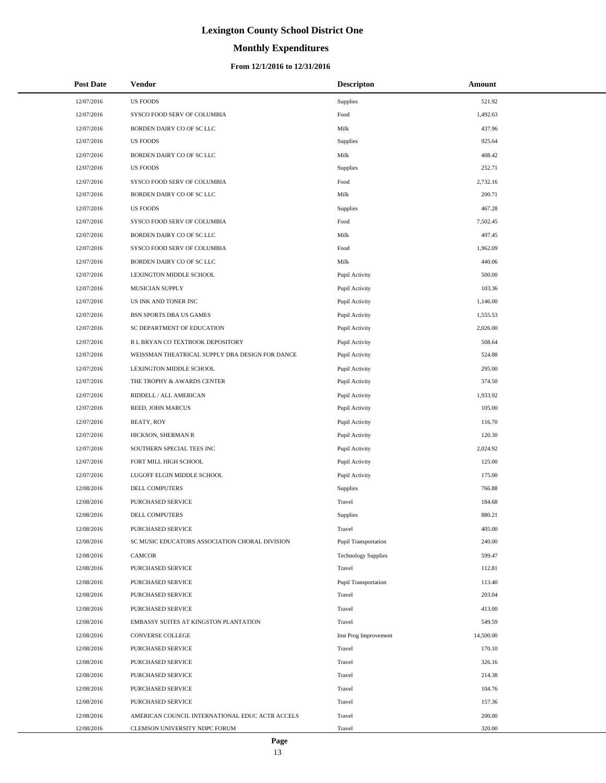# **Monthly Expenditures**

### **From 12/1/2016 to 12/31/2016**

| <b>Post Date</b> | Vendor                                          | <b>Descripton</b>           | Amount    |
|------------------|-------------------------------------------------|-----------------------------|-----------|
| 12/07/2016       | <b>US FOODS</b>                                 | Supplies                    | 521.92    |
| 12/07/2016       | SYSCO FOOD SERV OF COLUMBIA                     | Food                        | 1,492.63  |
| 12/07/2016       | BORDEN DAIRY CO OF SC LLC                       | Milk                        | 437.96    |
| 12/07/2016       | <b>US FOODS</b>                                 | <b>Supplies</b>             | 925.64    |
| 12/07/2016       | BORDEN DAIRY CO OF SC LLC                       | Milk                        | 408.42    |
| 12/07/2016       | <b>US FOODS</b>                                 | <b>Supplies</b>             | 252.71    |
| 12/07/2016       | SYSCO FOOD SERV OF COLUMBIA                     | Food                        | 2,732.16  |
| 12/07/2016       | BORDEN DAIRY CO OF SC LLC                       | Milk                        | 200.71    |
| 12/07/2016       | <b>US FOODS</b>                                 | Supplies                    | 467.28    |
| 12/07/2016       | SYSCO FOOD SERV OF COLUMBIA                     | Food                        | 7,502.45  |
| 12/07/2016       | BORDEN DAIRY CO OF SC LLC                       | Milk                        | 497.45    |
| 12/07/2016       | SYSCO FOOD SERV OF COLUMBIA                     | Food                        | 1,962.09  |
| 12/07/2016       | BORDEN DAIRY CO OF SC LLC                       | Milk                        | 440.06    |
| 12/07/2016       | LEXINGTON MIDDLE SCHOOL                         | Pupil Activity              | 500.00    |
| 12/07/2016       | MUSICIAN SUPPLY                                 | Pupil Activity              | 103.36    |
| 12/07/2016       | US INK AND TONER INC                            | Pupil Activity              | 1,146.00  |
| 12/07/2016       | BSN SPORTS DBA US GAMES                         | Pupil Activity              | 1,555.53  |
| 12/07/2016       | SC DEPARTMENT OF EDUCATION                      | Pupil Activity              | 2,026.00  |
| 12/07/2016       | R L BRYAN CO TEXTBOOK DEPOSITORY                | Pupil Activity              | 508.64    |
| 12/07/2016       | WEISSMAN THEATRICAL SUPPLY DBA DESIGN FOR DANCE | Pupil Activity              | 524.88    |
| 12/07/2016       | LEXINGTON MIDDLE SCHOOL                         | Pupil Activity              | 295.00    |
| 12/07/2016       | THE TROPHY & AWARDS CENTER                      | Pupil Activity              | 374.50    |
| 12/07/2016       | RIDDELL / ALL AMERICAN                          | Pupil Activity              | 1,933.92  |
| 12/07/2016       | REED, JOHN MARCUS                               | Pupil Activity              | 105.00    |
| 12/07/2016       | BEATY, ROY                                      | Pupil Activity              | 116.70    |
| 12/07/2016       | HICKSON, SHERMAN R                              | Pupil Activity              | 120.30    |
| 12/07/2016       | SOUTHERN SPECIAL TEES INC                       | Pupil Activity              | 2,024.92  |
| 12/07/2016       | FORT MILL HIGH SCHOOL                           | Pupil Activity              | 125.00    |
| 12/07/2016       | LUGOFF ELGIN MIDDLE SCHOOL                      | Pupil Activity              | 175.00    |
| 12/08/2016       | DELL COMPUTERS                                  | Supplies                    | 766.88    |
| 12/08/2016       | <b>PURCHASED SERVICE</b>                        | Travel                      | 184.68    |
| 12/08/2016       | DELL COMPUTERS                                  | <b>Supplies</b>             | 880.21    |
| 12/08/2016       | PURCHASED SERVICE                               | Travel                      | 405.00    |
| 12/08/2016       | SC MUSIC EDUCATORS ASSOCIATION CHORAL DIVISION  | <b>Pupil Transportation</b> | 240.00    |
| 12/08/2016       | <b>CAMCOR</b>                                   | <b>Technology Supplies</b>  | 599.47    |
| 12/08/2016       | <b>PURCHASED SERVICE</b>                        | Travel                      | 112.81    |
| 12/08/2016       | PURCHASED SERVICE                               | Pupil Transportation        | 113.40    |
| 12/08/2016       | PURCHASED SERVICE                               | Travel                      | 203.04    |
| 12/08/2016       | PURCHASED SERVICE                               | Travel                      | 413.00    |
| 12/08/2016       | EMBASSY SUITES AT KINGSTON PLANTATION           | Travel                      | 549.59    |
| 12/08/2016       | CONVERSE COLLEGE                                | Inst Prog Improvement       | 14,500.00 |
| 12/08/2016       | PURCHASED SERVICE                               | Travel                      | 170.10    |
| 12/08/2016       | PURCHASED SERVICE                               | Travel                      | 326.16    |
| 12/08/2016       | PURCHASED SERVICE                               | Travel                      | 214.38    |
| 12/08/2016       | PURCHASED SERVICE                               | Travel                      | 104.76    |
| 12/08/2016       | PURCHASED SERVICE                               | Travel                      | 157.36    |
| 12/08/2016       | AMERICAN COUNCIL INTERNATIONAL EDUC ACTR ACCELS | Travel                      | 200.00    |
| 12/08/2016       | CLEMSON UNIVERSITY NDPC FORUM                   | Travel                      | 320.00    |

L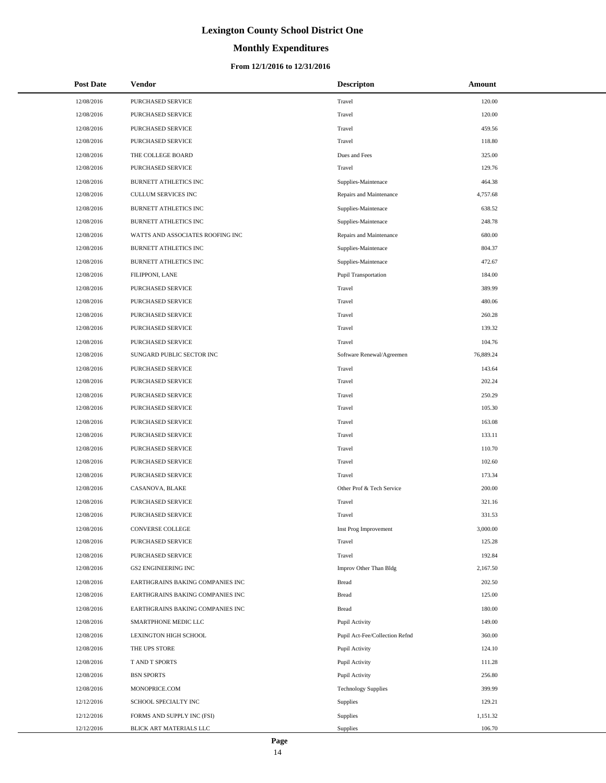# **Monthly Expenditures**

### **From 12/1/2016 to 12/31/2016**

| <b>Post Date</b> | Vendor                           | <b>Descripton</b>              | Amount    |  |
|------------------|----------------------------------|--------------------------------|-----------|--|
| 12/08/2016       | PURCHASED SERVICE                | Travel                         | 120.00    |  |
| 12/08/2016       | PURCHASED SERVICE                | Travel                         | 120.00    |  |
| 12/08/2016       | PURCHASED SERVICE                | Travel                         | 459.56    |  |
| 12/08/2016       | PURCHASED SERVICE                | Travel                         | 118.80    |  |
| 12/08/2016       | THE COLLEGE BOARD                | Dues and Fees                  | 325.00    |  |
| 12/08/2016       | PURCHASED SERVICE                | Travel                         | 129.76    |  |
| 12/08/2016       | BURNETT ATHLETICS INC            | Supplies-Maintenace            | 464.38    |  |
| 12/08/2016       | CULLUM SERVICES INC              | Repairs and Maintenance        | 4,757.68  |  |
| 12/08/2016       | BURNETT ATHLETICS INC            | Supplies-Maintenace            | 638.52    |  |
| 12/08/2016       | BURNETT ATHLETICS INC            | Supplies-Maintenace            | 248.78    |  |
| 12/08/2016       | WATTS AND ASSOCIATES ROOFING INC | Repairs and Maintenance        | 680.00    |  |
| 12/08/2016       | <b>BURNETT ATHLETICS INC</b>     | Supplies-Maintenace            | 804.37    |  |
| 12/08/2016       | BURNETT ATHLETICS INC            | Supplies-Maintenace            | 472.67    |  |
| 12/08/2016       | FILIPPONI, LANE                  | Pupil Transportation           | 184.00    |  |
| 12/08/2016       | PURCHASED SERVICE                | Travel                         | 389.99    |  |
| 12/08/2016       | PURCHASED SERVICE                | Travel                         | 480.06    |  |
| 12/08/2016       | PURCHASED SERVICE                | Travel                         | 260.28    |  |
| 12/08/2016       | PURCHASED SERVICE                | Travel                         | 139.32    |  |
| 12/08/2016       | PURCHASED SERVICE                | Travel                         | 104.76    |  |
| 12/08/2016       | SUNGARD PUBLIC SECTOR INC        | Software Renewal/Agreemen      | 76,889.24 |  |
| 12/08/2016       | PURCHASED SERVICE                | Travel                         | 143.64    |  |
| 12/08/2016       | PURCHASED SERVICE                | Travel                         | 202.24    |  |
| 12/08/2016       | PURCHASED SERVICE                | Travel                         | 250.29    |  |
| 12/08/2016       | PURCHASED SERVICE                | Travel                         | 105.30    |  |
| 12/08/2016       | PURCHASED SERVICE                | Travel                         | 163.08    |  |
| 12/08/2016       | PURCHASED SERVICE                | Travel                         | 133.11    |  |
| 12/08/2016       | PURCHASED SERVICE                | Travel                         | 110.70    |  |
| 12/08/2016       | PURCHASED SERVICE                | Travel                         | 102.60    |  |
| 12/08/2016       | PURCHASED SERVICE                | Travel                         | 173.34    |  |
| 12/08/2016       | CASANOVA, BLAKE                  | Other Prof & Tech Service      | 200.00    |  |
| 12/08/2016       | PURCHASED SERVICE                | Travel                         | 321.16    |  |
| 12/08/2016       | PURCHASED SERVICE                | Travel                         | 331.53    |  |
| 12/08/2016       | CONVERSE COLLEGE                 | Inst Prog Improvement          | 3,000.00  |  |
| 12/08/2016       | PURCHASED SERVICE                | Travel                         | 125.28    |  |
| 12/08/2016       | PURCHASED SERVICE                | Travel                         | 192.84    |  |
| 12/08/2016       | <b>GS2 ENGINEERING INC</b>       | Improv Other Than Bldg         | 2,167.50  |  |
| 12/08/2016       | EARTHGRAINS BAKING COMPANIES INC | <b>Bread</b>                   | 202.50    |  |
| 12/08/2016       | EARTHGRAINS BAKING COMPANIES INC | <b>Bread</b>                   | 125.00    |  |
| 12/08/2016       | EARTHGRAINS BAKING COMPANIES INC | <b>Bread</b>                   | 180.00    |  |
| 12/08/2016       | SMARTPHONE MEDIC LLC             | Pupil Activity                 | 149.00    |  |
| 12/08/2016       | LEXINGTON HIGH SCHOOL            | Pupil Act-Fee/Collection Refnd | 360.00    |  |
| 12/08/2016       | THE UPS STORE                    | Pupil Activity                 | 124.10    |  |
| 12/08/2016       | T AND T SPORTS                   | Pupil Activity                 | 111.28    |  |
| 12/08/2016       | <b>BSN SPORTS</b>                | Pupil Activity                 | 256.80    |  |
| 12/08/2016       | MONOPRICE.COM                    | <b>Technology Supplies</b>     | 399.99    |  |
| 12/12/2016       | SCHOOL SPECIALTY INC             | Supplies                       | 129.21    |  |
| 12/12/2016       | FORMS AND SUPPLY INC (FSI)       | Supplies                       | 1,151.32  |  |
| 12/12/2016       | BLICK ART MATERIALS LLC          | Supplies                       | 106.70    |  |

÷.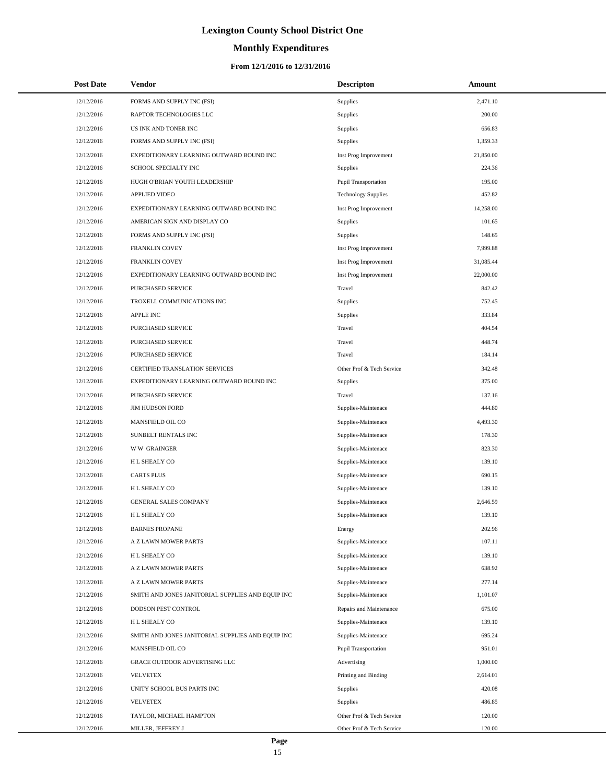# **Monthly Expenditures**

| <b>Post Date</b> | Vendor                                            | <b>Descripton</b>           | Amount    |
|------------------|---------------------------------------------------|-----------------------------|-----------|
| 12/12/2016       | FORMS AND SUPPLY INC (FSI)                        | Supplies                    | 2,471.10  |
| 12/12/2016       | RAPTOR TECHNOLOGIES LLC                           | Supplies                    | 200.00    |
| 12/12/2016       | US INK AND TONER INC                              | Supplies                    | 656.83    |
| 12/12/2016       | FORMS AND SUPPLY INC (FSI)                        | Supplies                    | 1,359.33  |
| 12/12/2016       | EXPEDITIONARY LEARNING OUTWARD BOUND INC          | Inst Prog Improvement       | 21,850.00 |
| 12/12/2016       | SCHOOL SPECIALTY INC                              | Supplies                    | 224.36    |
| 12/12/2016       | HUGH O'BRIAN YOUTH LEADERSHIP                     | Pupil Transportation        | 195.00    |
| 12/12/2016       | <b>APPLIED VIDEO</b>                              | <b>Technology Supplies</b>  | 452.82    |
| 12/12/2016       | EXPEDITIONARY LEARNING OUTWARD BOUND INC          | Inst Prog Improvement       | 14,258.00 |
| 12/12/2016       | AMERICAN SIGN AND DISPLAY CO                      | Supplies                    | 101.65    |
| 12/12/2016       | FORMS AND SUPPLY INC (FSI)                        | Supplies                    | 148.65    |
| 12/12/2016       | FRANKLIN COVEY                                    | Inst Prog Improvement       | 7,999.88  |
| 12/12/2016       | FRANKLIN COVEY                                    | Inst Prog Improvement       | 31,085.44 |
| 12/12/2016       | EXPEDITIONARY LEARNING OUTWARD BOUND INC          | Inst Prog Improvement       | 22,000.00 |
| 12/12/2016       | PURCHASED SERVICE                                 | Travel                      | 842.42    |
| 12/12/2016       | TROXELL COMMUNICATIONS INC                        | Supplies                    | 752.45    |
| 12/12/2016       | APPLE INC                                         | Supplies                    | 333.84    |
| 12/12/2016       | PURCHASED SERVICE                                 | Travel                      | 404.54    |
| 12/12/2016       | PURCHASED SERVICE                                 | Travel                      | 448.74    |
| 12/12/2016       | PURCHASED SERVICE                                 | Travel                      | 184.14    |
| 12/12/2016       | CERTIFIED TRANSLATION SERVICES                    | Other Prof & Tech Service   | 342.48    |
| 12/12/2016       | EXPEDITIONARY LEARNING OUTWARD BOUND INC          | Supplies                    | 375.00    |
| 12/12/2016       | PURCHASED SERVICE                                 | Travel                      | 137.16    |
| 12/12/2016       | <b>JIM HUDSON FORD</b>                            | Supplies-Maintenace         | 444.80    |
| 12/12/2016       | MANSFIELD OIL CO                                  | Supplies-Maintenace         | 4,493.30  |
| 12/12/2016       | SUNBELT RENTALS INC                               | Supplies-Maintenace         | 178.30    |
| 12/12/2016       | <b>WW GRAINGER</b>                                | Supplies-Maintenace         | 823.30    |
| 12/12/2016       | H L SHEALY CO                                     | Supplies-Maintenace         | 139.10    |
| 12/12/2016       | <b>CARTS PLUS</b>                                 | Supplies-Maintenace         | 690.15    |
| 12/12/2016       | H L SHEALY CO                                     | Supplies-Maintenace         | 139.10    |
| 12/12/2016       | GENERAL SALES COMPANY                             | Supplies-Maintenace         | 2,646.59  |
| 12/12/2016       | H L SHEALY CO                                     | Supplies-Maintenace         | 139.10    |
| 12/12/2016       | <b>BARNES PROPANE</b>                             | Energy                      | 202.96    |
| 12/12/2016       | A Z LAWN MOWER PARTS                              | Supplies-Maintenace         | 107.11    |
| 12/12/2016       | H L SHEALY CO                                     | Supplies-Maintenace         | 139.10    |
| 12/12/2016       | A Z LAWN MOWER PARTS                              | Supplies-Maintenace         | 638.92    |
| 12/12/2016       | A Z LAWN MOWER PARTS                              | Supplies-Maintenace         | 277.14    |
| 12/12/2016       | SMITH AND JONES JANITORIAL SUPPLIES AND EQUIP INC | Supplies-Maintenace         | 1,101.07  |
| 12/12/2016       | DODSON PEST CONTROL                               | Repairs and Maintenance     | 675.00    |
| 12/12/2016       | H L SHEALY CO                                     | Supplies-Maintenace         | 139.10    |
| 12/12/2016       | SMITH AND JONES JANITORIAL SUPPLIES AND EQUIP INC | Supplies-Maintenace         | 695.24    |
| 12/12/2016       | MANSFIELD OIL CO                                  | <b>Pupil Transportation</b> | 951.01    |
| 12/12/2016       | GRACE OUTDOOR ADVERTISING LLC                     | Advertising                 | 1,000.00  |
| 12/12/2016       | <b>VELVETEX</b>                                   | Printing and Binding        | 2,614.01  |
| 12/12/2016       | UNITY SCHOOL BUS PARTS INC                        | Supplies                    | 420.08    |
| 12/12/2016       | <b>VELVETEX</b>                                   | Supplies                    | 486.85    |
| 12/12/2016       | TAYLOR, MICHAEL HAMPTON                           | Other Prof & Tech Service   | 120.00    |
| 12/12/2016       | MILLER, JEFFREY J                                 | Other Prof & Tech Service   | 120.00    |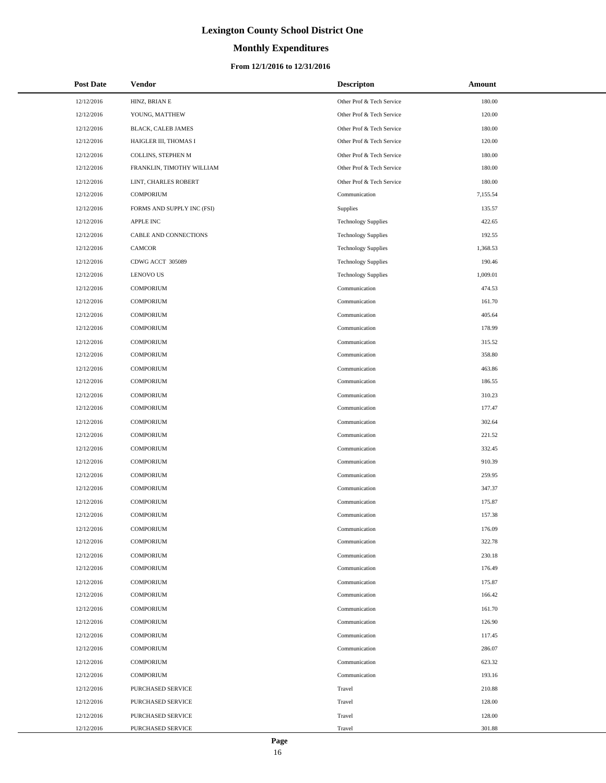# **Monthly Expenditures**

### **From 12/1/2016 to 12/31/2016**

| <b>Post Date</b> | Vendor                     | <b>Descripton</b>          | Amount   |
|------------------|----------------------------|----------------------------|----------|
| 12/12/2016       | HINZ, BRIAN E              | Other Prof & Tech Service  | 180.00   |
| 12/12/2016       | YOUNG, MATTHEW             | Other Prof & Tech Service  | 120.00   |
| 12/12/2016       | BLACK, CALEB JAMES         | Other Prof & Tech Service  | 180.00   |
| 12/12/2016       | HAIGLER III, THOMAS I      | Other Prof & Tech Service  | 120.00   |
| 12/12/2016       | COLLINS, STEPHEN M         | Other Prof & Tech Service  | 180.00   |
| 12/12/2016       | FRANKLIN, TIMOTHY WILLIAM  | Other Prof & Tech Service  | 180.00   |
| 12/12/2016       | LINT, CHARLES ROBERT       | Other Prof & Tech Service  | 180.00   |
| 12/12/2016       | <b>COMPORIUM</b>           | Communication              | 7,155.54 |
| 12/12/2016       | FORMS AND SUPPLY INC (FSI) | Supplies                   | 135.57   |
| 12/12/2016       | <b>APPLE INC</b>           | <b>Technology Supplies</b> | 422.65   |
| 12/12/2016       | CABLE AND CONNECTIONS      | <b>Technology Supplies</b> | 192.55   |
| 12/12/2016       | CAMCOR                     | <b>Technology Supplies</b> | 1,368.53 |
| 12/12/2016       | CDWG ACCT 305089           | <b>Technology Supplies</b> | 190.46   |
| 12/12/2016       | <b>LENOVO US</b>           | <b>Technology Supplies</b> | 1,009.01 |
| 12/12/2016       | <b>COMPORIUM</b>           | Communication              | 474.53   |
| 12/12/2016       | <b>COMPORIUM</b>           | Communication              | 161.70   |
| 12/12/2016       | <b>COMPORIUM</b>           | Communication              | 405.64   |
| 12/12/2016       | <b>COMPORIUM</b>           | Communication              | 178.99   |
| 12/12/2016       | <b>COMPORIUM</b>           | Communication              | 315.52   |
| 12/12/2016       | <b>COMPORIUM</b>           | Communication              | 358.80   |
| 12/12/2016       | <b>COMPORIUM</b>           | Communication              | 463.86   |
| 12/12/2016       | <b>COMPORIUM</b>           | Communication              | 186.55   |
| 12/12/2016       | <b>COMPORIUM</b>           | Communication              | 310.23   |
| 12/12/2016       | <b>COMPORIUM</b>           | Communication              | 177.47   |
| 12/12/2016       | <b>COMPORIUM</b>           | Communication              | 302.64   |
| 12/12/2016       | <b>COMPORIUM</b>           | Communication              | 221.52   |
| 12/12/2016       | <b>COMPORIUM</b>           | Communication              | 332.45   |
| 12/12/2016       | <b>COMPORIUM</b>           | Communication              | 910.39   |
| 12/12/2016       | <b>COMPORIUM</b>           | Communication              | 259.95   |
| 12/12/2016       | <b>COMPORIUM</b>           | Communication              | 347.37   |
| 12/12/2016       | <b>COMPORIUM</b>           | Communication              | 175.87   |
| 12/12/2016       | <b>COMPORIUM</b>           | Communication              | 157.38   |
| 12/12/2016       | <b>COMPORIUM</b>           | Communication              | 176.09   |
| 12/12/2016       | <b>COMPORIUM</b>           | Communication              | 322.78   |
| 12/12/2016       | <b>COMPORIUM</b>           | Communication              | 230.18   |
| 12/12/2016       | <b>COMPORIUM</b>           | Communication              | 176.49   |
| 12/12/2016       | <b>COMPORIUM</b>           | Communication              | 175.87   |
| 12/12/2016       | <b>COMPORIUM</b>           | Communication              | 166.42   |
| 12/12/2016       | <b>COMPORIUM</b>           | Communication              | 161.70   |
| 12/12/2016       | <b>COMPORIUM</b>           | Communication              | 126.90   |
| 12/12/2016       | <b>COMPORIUM</b>           | Communication              | 117.45   |
| 12/12/2016       | <b>COMPORIUM</b>           | Communication              | 286.07   |
| 12/12/2016       | <b>COMPORIUM</b>           | Communication              | 623.32   |
| 12/12/2016       | <b>COMPORIUM</b>           | Communication              | 193.16   |
| 12/12/2016       | PURCHASED SERVICE          | Travel                     | 210.88   |
| 12/12/2016       | PURCHASED SERVICE          | Travel                     | 128.00   |
| 12/12/2016       | PURCHASED SERVICE          | Travel                     | 128.00   |
| 12/12/2016       | PURCHASED SERVICE          | Travel                     | 301.88   |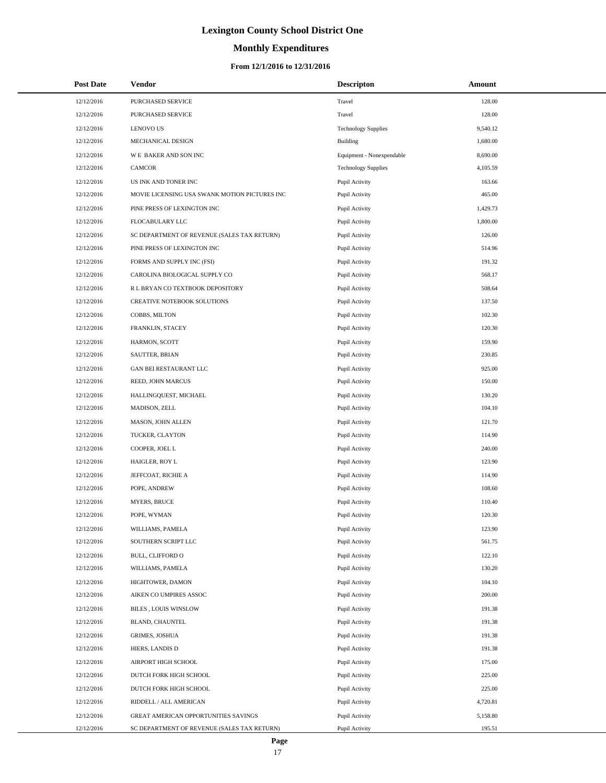# **Monthly Expenditures**

### **From 12/1/2016 to 12/31/2016**

| <b>Post Date</b> | Vendor                                        | <b>Descripton</b>          | Amount   |
|------------------|-----------------------------------------------|----------------------------|----------|
| 12/12/2016       | PURCHASED SERVICE                             | Travel                     | 128.00   |
| 12/12/2016       | PURCHASED SERVICE                             | Travel                     | 128.00   |
| 12/12/2016       | <b>LENOVO US</b>                              | <b>Technology Supplies</b> | 9,540.12 |
| 12/12/2016       | MECHANICAL DESIGN                             | Building                   | 1,680.00 |
| 12/12/2016       | WE BAKER AND SON INC                          | Equipment - Nonexpendable  | 8,690.00 |
| 12/12/2016       | <b>CAMCOR</b>                                 | <b>Technology Supplies</b> | 4,105.59 |
| 12/12/2016       | US INK AND TONER INC                          | Pupil Activity             | 163.66   |
| 12/12/2016       | MOVIE LICENSING USA SWANK MOTION PICTURES INC | Pupil Activity             | 465.00   |
| 12/12/2016       | PINE PRESS OF LEXINGTON INC                   | Pupil Activity             | 1,429.73 |
| 12/12/2016       | FLOCABULARY LLC                               | Pupil Activity             | 1,800.00 |
| 12/12/2016       | SC DEPARTMENT OF REVENUE (SALES TAX RETURN)   | Pupil Activity             | 126.00   |
| 12/12/2016       | PINE PRESS OF LEXINGTON INC                   | Pupil Activity             | 514.96   |
| 12/12/2016       | FORMS AND SUPPLY INC (FSI)                    | Pupil Activity             | 191.32   |
| 12/12/2016       | CAROLINA BIOLOGICAL SUPPLY CO                 | Pupil Activity             | 568.17   |
| 12/12/2016       | R L BRYAN CO TEXTBOOK DEPOSITORY              | Pupil Activity             | 508.64   |
| 12/12/2016       | CREATIVE NOTEBOOK SOLUTIONS                   | Pupil Activity             | 137.50   |
| 12/12/2016       | COBBS, MILTON                                 | Pupil Activity             | 102.30   |
| 12/12/2016       | FRANKLIN, STACEY                              | Pupil Activity             | 120.30   |
| 12/12/2016       | HARMON, SCOTT                                 | Pupil Activity             | 159.90   |
| 12/12/2016       | SAUTTER, BRIAN                                | Pupil Activity             | 230.85   |
| 12/12/2016       | GAN BEI RESTAURANT LLC                        | Pupil Activity             | 925.00   |
| 12/12/2016       | REED, JOHN MARCUS                             | Pupil Activity             | 150.00   |
| 12/12/2016       | HALLINGQUEST, MICHAEL                         | Pupil Activity             | 130.20   |
| 12/12/2016       | MADISON, ZELL                                 | Pupil Activity             | 104.10   |
| 12/12/2016       | MASON, JOHN ALLEN                             | Pupil Activity             | 121.70   |
| 12/12/2016       | TUCKER, CLAYTON                               | Pupil Activity             | 114.90   |
| 12/12/2016       | COOPER, JOEL L                                | Pupil Activity             | 240.00   |
| 12/12/2016       | HAIGLER, ROY L                                | Pupil Activity             | 123.90   |
| 12/12/2016       | JEFFCOAT, RICHIE A                            | Pupil Activity             | 114.90   |
| 12/12/2016       | POPE, ANDREW                                  | Pupil Activity             | 108.60   |
| 12/12/2016       | <b>MYERS, BRUCE</b>                           | Pupil Activity             | 110.40   |
| 12/12/2016       | POPE, WYMAN                                   | Pupil Activity             | 120.30   |
| 12/12/2016       | WILLIAMS, PAMELA                              | Pupil Activity             | 123.90   |
| 12/12/2016       | SOUTHERN SCRIPT LLC                           | Pupil Activity             | 561.75   |
| 12/12/2016       | BULL, CLIFFORD O                              | Pupil Activity             | 122.10   |
| 12/12/2016       | WILLIAMS, PAMELA                              | Pupil Activity             | 130.20   |
| 12/12/2016       | HIGHTOWER, DAMON                              | Pupil Activity             | 104.10   |
| 12/12/2016       | AIKEN CO UMPIRES ASSOC                        | Pupil Activity             | 200.00   |
| 12/12/2016       | BILES , LOUIS WINSLOW                         | Pupil Activity             | 191.38   |
| 12/12/2016       | BLAND, CHAUNTEL                               | Pupil Activity             | 191.38   |
| 12/12/2016       | <b>GRIMES, JOSHUA</b>                         | Pupil Activity             | 191.38   |
| 12/12/2016       | HIERS, LANDIS D                               | Pupil Activity             | 191.38   |
| 12/12/2016       | AIRPORT HIGH SCHOOL                           | Pupil Activity             | 175.00   |
| 12/12/2016       | DUTCH FORK HIGH SCHOOL                        | Pupil Activity             | 225.00   |
| 12/12/2016       | DUTCH FORK HIGH SCHOOL                        | Pupil Activity             | 225.00   |
| 12/12/2016       | RIDDELL / ALL AMERICAN                        | Pupil Activity             | 4,720.81 |
| 12/12/2016       | GREAT AMERICAN OPPORTUNITIES SAVINGS          | Pupil Activity             | 5,158.80 |
| 12/12/2016       | SC DEPARTMENT OF REVENUE (SALES TAX RETURN)   | Pupil Activity             | 195.51   |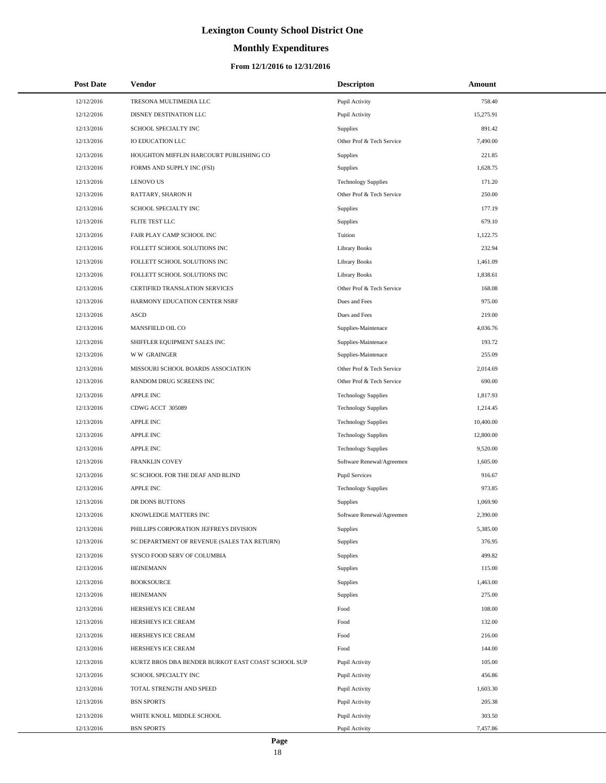# **Monthly Expenditures**

| <b>Post Date</b> | Vendor                                             | <b>Descripton</b>          | Amount    |
|------------------|----------------------------------------------------|----------------------------|-----------|
| 12/12/2016       | TRESONA MULTIMEDIA LLC                             | Pupil Activity             | 758.40    |
| 12/12/2016       | DISNEY DESTINATION LLC                             | Pupil Activity             | 15,275.91 |
| 12/13/2016       | SCHOOL SPECIALTY INC                               | Supplies                   | 891.42    |
| 12/13/2016       | <b>IO EDUCATION LLC</b>                            | Other Prof & Tech Service  | 7.490.00  |
| 12/13/2016       | HOUGHTON MIFFLIN HARCOURT PUBLISHING CO            | Supplies                   | 221.85    |
| 12/13/2016       | FORMS AND SUPPLY INC (FSI)                         | Supplies                   | 1,628.75  |
| 12/13/2016       | <b>LENOVO US</b>                                   | <b>Technology Supplies</b> | 171.20    |
| 12/13/2016       | RATTARY, SHARON H                                  | Other Prof & Tech Service  | 250.00    |
| 12/13/2016       | SCHOOL SPECIALTY INC                               | Supplies                   | 177.19    |
| 12/13/2016       | FLITE TEST LLC                                     | Supplies                   | 679.10    |
| 12/13/2016       | FAIR PLAY CAMP SCHOOL INC                          | Tuition                    | 1,122.75  |
| 12/13/2016       | FOLLETT SCHOOL SOLUTIONS INC                       | <b>Library Books</b>       | 232.94    |
| 12/13/2016       | FOLLETT SCHOOL SOLUTIONS INC                       | <b>Library Books</b>       | 1,461.09  |
| 12/13/2016       | FOLLETT SCHOOL SOLUTIONS INC                       | <b>Library Books</b>       | 1,838.61  |
| 12/13/2016       | CERTIFIED TRANSLATION SERVICES                     | Other Prof & Tech Service  | 168.08    |
| 12/13/2016       | HARMONY EDUCATION CENTER NSRF                      | Dues and Fees              | 975.00    |
| 12/13/2016       | ASCD                                               | Dues and Fees              | 219.00    |
| 12/13/2016       | MANSFIELD OIL CO                                   | Supplies-Maintenace        | 4,036.76  |
| 12/13/2016       | SHIFFLER EQUIPMENT SALES INC                       | Supplies-Maintenace        | 193.72    |
| 12/13/2016       | <b>WW GRAINGER</b>                                 | Supplies-Maintenace        | 255.09    |
| 12/13/2016       | MISSOURI SCHOOL BOARDS ASSOCIATION                 | Other Prof & Tech Service  | 2,014.69  |
| 12/13/2016       | RANDOM DRUG SCREENS INC                            | Other Prof & Tech Service  | 690.00    |
| 12/13/2016       | <b>APPLE INC</b>                                   | <b>Technology Supplies</b> | 1,817.93  |
| 12/13/2016       | CDWG ACCT 305089                                   | <b>Technology Supplies</b> | 1,214.45  |
| 12/13/2016       | <b>APPLE INC</b>                                   | <b>Technology Supplies</b> | 10,400.00 |
| 12/13/2016       | <b>APPLE INC</b>                                   | <b>Technology Supplies</b> | 12,800.00 |
| 12/13/2016       | <b>APPLE INC</b>                                   | <b>Technology Supplies</b> | 9,520.00  |
| 12/13/2016       | <b>FRANKLIN COVEY</b>                              | Software Renewal/Agreemen  | 1,605.00  |
| 12/13/2016       | SC SCHOOL FOR THE DEAF AND BLIND                   | <b>Pupil Services</b>      | 916.67    |
| 12/13/2016       | <b>APPLE INC</b>                                   | <b>Technology Supplies</b> | 973.85    |
| 12/13/2016       | DR DONS BUTTONS                                    | Supplies                   | 1,069.90  |
| 12/13/2016       | KNOWLEDGE MATTERS INC                              | Software Renewal/Agreemen  | 2,390.00  |
| 12/13/2016       | PHILLIPS CORPORATION JEFFREYS DIVISION             | Supplies                   | 5,385.00  |
| 12/13/2016       | SC DEPARTMENT OF REVENUE (SALES TAX RETURN)        | Supplies                   | 376.95    |
| 12/13/2016       | SYSCO FOOD SERV OF COLUMBIA                        | Supplies                   | 499.82    |
| 12/13/2016       | <b>HEINEMANN</b>                                   | Supplies                   | 115.00    |
| 12/13/2016       | <b>BOOKSOURCE</b>                                  | Supplies                   | 1,463.00  |
| 12/13/2016       | <b>HEINEMANN</b>                                   | Supplies                   | 275.00    |
| 12/13/2016       | HERSHEYS ICE CREAM                                 | Food                       | 108.00    |
| 12/13/2016       | HERSHEYS ICE CREAM                                 | Food                       | 132.00    |
| 12/13/2016       | HERSHEYS ICE CREAM                                 | Food                       | 216.00    |
| 12/13/2016       | HERSHEYS ICE CREAM                                 | Food                       | 144.00    |
| 12/13/2016       | KURTZ BROS DBA BENDER BURKOT EAST COAST SCHOOL SUP | Pupil Activity             | 105.00    |
| 12/13/2016       | SCHOOL SPECIALTY INC                               | Pupil Activity             | 456.86    |
| 12/13/2016       | TOTAL STRENGTH AND SPEED                           | Pupil Activity             | 1,603.30  |
| 12/13/2016       | <b>BSN SPORTS</b>                                  | Pupil Activity             | 205.38    |
| 12/13/2016       | WHITE KNOLL MIDDLE SCHOOL                          | Pupil Activity             | 303.50    |
| 12/13/2016       | <b>BSN SPORTS</b>                                  | Pupil Activity             | 7,457.86  |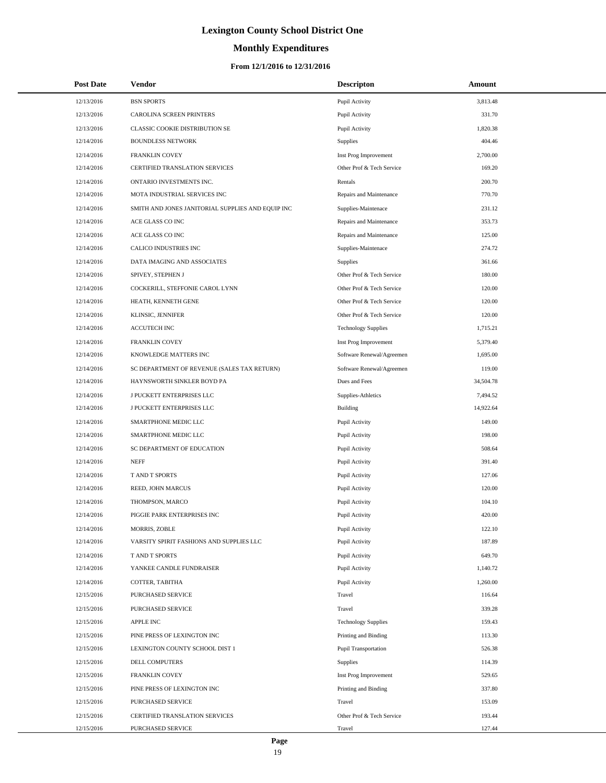# **Monthly Expenditures**

### **From 12/1/2016 to 12/31/2016**

| <b>Post Date</b> | Vendor                                            | <b>Descripton</b>           | Amount    |  |
|------------------|---------------------------------------------------|-----------------------------|-----------|--|
| 12/13/2016       | <b>BSN SPORTS</b>                                 | Pupil Activity              | 3,813.48  |  |
| 12/13/2016       | CAROLINA SCREEN PRINTERS                          | Pupil Activity              | 331.70    |  |
| 12/13/2016       | CLASSIC COOKIE DISTRIBUTION SE                    | Pupil Activity              | 1,820.38  |  |
| 12/14/2016       | <b>BOUNDLESS NETWORK</b>                          | Supplies                    | 404.46    |  |
| 12/14/2016       | FRANKLIN COVEY                                    | Inst Prog Improvement       | 2,700.00  |  |
| 12/14/2016       | CERTIFIED TRANSLATION SERVICES                    | Other Prof & Tech Service   | 169.20    |  |
| 12/14/2016       | ONTARIO INVESTMENTS INC.                          | Rentals                     | 200.70    |  |
| 12/14/2016       | MOTA INDUSTRIAL SERVICES INC                      | Repairs and Maintenance     | 770.70    |  |
| 12/14/2016       | SMITH AND JONES JANITORIAL SUPPLIES AND EQUIP INC | Supplies-Maintenace         | 231.12    |  |
| 12/14/2016       | ACE GLASS CO INC                                  | Repairs and Maintenance     | 353.73    |  |
| 12/14/2016       | ACE GLASS CO INC                                  | Repairs and Maintenance     | 125.00    |  |
| 12/14/2016       | CALICO INDUSTRIES INC                             | Supplies-Maintenace         | 274.72    |  |
| 12/14/2016       | DATA IMAGING AND ASSOCIATES                       | <b>Supplies</b>             | 361.66    |  |
| 12/14/2016       | SPIVEY, STEPHEN J                                 | Other Prof & Tech Service   | 180.00    |  |
| 12/14/2016       | COCKERILL, STEFFONIE CAROL LYNN                   | Other Prof & Tech Service   | 120.00    |  |
| 12/14/2016       | HEATH, KENNETH GENE                               | Other Prof & Tech Service   | 120.00    |  |
| 12/14/2016       | KLINSIC, JENNIFER                                 | Other Prof & Tech Service   | 120.00    |  |
| 12/14/2016       | ACCUTECH INC                                      | <b>Technology Supplies</b>  | 1,715.21  |  |
| 12/14/2016       | FRANKLIN COVEY                                    | Inst Prog Improvement       | 5,379.40  |  |
| 12/14/2016       | KNOWLEDGE MATTERS INC                             | Software Renewal/Agreemen   | 1,695.00  |  |
| 12/14/2016       | SC DEPARTMENT OF REVENUE (SALES TAX RETURN)       | Software Renewal/Agreemen   | 119.00    |  |
| 12/14/2016       | HAYNSWORTH SINKLER BOYD PA                        | Dues and Fees               | 34,504.78 |  |
| 12/14/2016       | J PUCKETT ENTERPRISES LLC                         | Supplies-Athletics          | 7,494.52  |  |
| 12/14/2016       | J PUCKETT ENTERPRISES LLC                         | Building                    | 14,922.64 |  |
| 12/14/2016       | SMARTPHONE MEDIC LLC                              | Pupil Activity              | 149.00    |  |
| 12/14/2016       | SMARTPHONE MEDIC LLC                              | Pupil Activity              | 198.00    |  |
| 12/14/2016       | SC DEPARTMENT OF EDUCATION                        | Pupil Activity              | 508.64    |  |
| 12/14/2016       | <b>NEFF</b>                                       | Pupil Activity              | 391.40    |  |
| 12/14/2016       | T AND T SPORTS                                    | Pupil Activity              | 127.06    |  |
| 12/14/2016       | REED, JOHN MARCUS                                 | Pupil Activity              | 120.00    |  |
| 12/14/2016       | THOMPSON, MARCO                                   | Pupil Activity              | 104.10    |  |
| 12/14/2016       | PIGGIE PARK ENTERPRISES INC                       | Pupil Activity              | 420.00    |  |
| 12/14/2016       | MORRIS, ZOBLE                                     | Pupil Activity              | 122.10    |  |
| 12/14/2016       | VARSITY SPIRIT FASHIONS AND SUPPLIES LLC          | Pupil Activity              | 187.89    |  |
| 12/14/2016       | T AND T SPORTS                                    | Pupil Activity              | 649.70    |  |
| 12/14/2016       | YANKEE CANDLE FUNDRAISER                          | Pupil Activity              | 1,140.72  |  |
| 12/14/2016       | COTTER, TABITHA                                   | Pupil Activity              | 1,260.00  |  |
| 12/15/2016       | PURCHASED SERVICE                                 | Travel                      | 116.64    |  |
| 12/15/2016       | PURCHASED SERVICE                                 | Travel                      | 339.28    |  |
| 12/15/2016       | APPLE INC                                         | <b>Technology Supplies</b>  | 159.43    |  |
| 12/15/2016       | PINE PRESS OF LEXINGTON INC                       | Printing and Binding        | 113.30    |  |
| 12/15/2016       | LEXINGTON COUNTY SCHOOL DIST 1                    | <b>Pupil Transportation</b> | 526.38    |  |
| 12/15/2016       | DELL COMPUTERS                                    | Supplies                    | 114.39    |  |
| 12/15/2016       | FRANKLIN COVEY                                    | Inst Prog Improvement       | 529.65    |  |
| 12/15/2016       | PINE PRESS OF LEXINGTON INC                       | Printing and Binding        | 337.80    |  |
| 12/15/2016       | PURCHASED SERVICE                                 | Travel                      | 153.09    |  |
| 12/15/2016       | CERTIFIED TRANSLATION SERVICES                    | Other Prof & Tech Service   | 193.44    |  |
| 12/15/2016       | PURCHASED SERVICE                                 | Travel                      | 127.44    |  |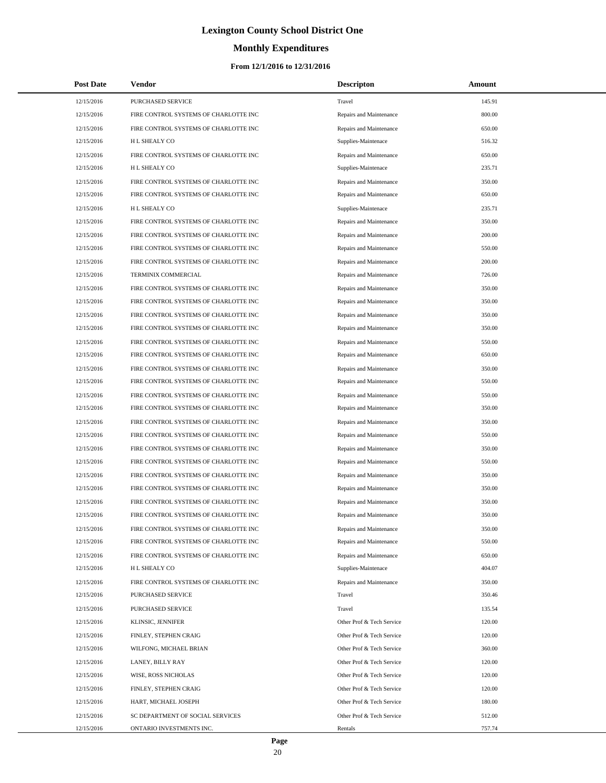# **Monthly Expenditures**

### **From 12/1/2016 to 12/31/2016**

| <b>Post Date</b> | Vendor                                | <b>Descripton</b>         | Amount |
|------------------|---------------------------------------|---------------------------|--------|
| 12/15/2016       | PURCHASED SERVICE                     | Travel                    | 145.91 |
| 12/15/2016       | FIRE CONTROL SYSTEMS OF CHARLOTTE INC | Repairs and Maintenance   | 800.00 |
| 12/15/2016       | FIRE CONTROL SYSTEMS OF CHARLOTTE INC | Repairs and Maintenance   | 650.00 |
| 12/15/2016       | H L SHEALY CO                         | Supplies-Maintenace       | 516.32 |
| 12/15/2016       | FIRE CONTROL SYSTEMS OF CHARLOTTE INC | Repairs and Maintenance   | 650.00 |
| 12/15/2016       | H L SHEALY CO                         | Supplies-Maintenace       | 235.71 |
| 12/15/2016       | FIRE CONTROL SYSTEMS OF CHARLOTTE INC | Repairs and Maintenance   | 350.00 |
| 12/15/2016       | FIRE CONTROL SYSTEMS OF CHARLOTTE INC | Repairs and Maintenance   | 650.00 |
| 12/15/2016       | H L SHEALY CO                         | Supplies-Maintenace       | 235.71 |
| 12/15/2016       | FIRE CONTROL SYSTEMS OF CHARLOTTE INC | Repairs and Maintenance   | 350.00 |
| 12/15/2016       | FIRE CONTROL SYSTEMS OF CHARLOTTE INC | Repairs and Maintenance   | 200.00 |
| 12/15/2016       | FIRE CONTROL SYSTEMS OF CHARLOTTE INC | Repairs and Maintenance   | 550.00 |
| 12/15/2016       | FIRE CONTROL SYSTEMS OF CHARLOTTE INC | Repairs and Maintenance   | 200.00 |
| 12/15/2016       | TERMINIX COMMERCIAL                   | Repairs and Maintenance   | 726.00 |
| 12/15/2016       | FIRE CONTROL SYSTEMS OF CHARLOTTE INC | Repairs and Maintenance   | 350.00 |
| 12/15/2016       | FIRE CONTROL SYSTEMS OF CHARLOTTE INC | Repairs and Maintenance   | 350.00 |
| 12/15/2016       | FIRE CONTROL SYSTEMS OF CHARLOTTE INC | Repairs and Maintenance   | 350.00 |
| 12/15/2016       | FIRE CONTROL SYSTEMS OF CHARLOTTE INC | Repairs and Maintenance   | 350.00 |
| 12/15/2016       | FIRE CONTROL SYSTEMS OF CHARLOTTE INC | Repairs and Maintenance   | 550.00 |
| 12/15/2016       | FIRE CONTROL SYSTEMS OF CHARLOTTE INC | Repairs and Maintenance   | 650.00 |
| 12/15/2016       | FIRE CONTROL SYSTEMS OF CHARLOTTE INC | Repairs and Maintenance   | 350.00 |
| 12/15/2016       | FIRE CONTROL SYSTEMS OF CHARLOTTE INC | Repairs and Maintenance   | 550.00 |
| 12/15/2016       | FIRE CONTROL SYSTEMS OF CHARLOTTE INC | Repairs and Maintenance   | 550.00 |
| 12/15/2016       | FIRE CONTROL SYSTEMS OF CHARLOTTE INC | Repairs and Maintenance   | 350.00 |
| 12/15/2016       | FIRE CONTROL SYSTEMS OF CHARLOTTE INC | Repairs and Maintenance   | 350.00 |
| 12/15/2016       | FIRE CONTROL SYSTEMS OF CHARLOTTE INC | Repairs and Maintenance   | 550.00 |
| 12/15/2016       | FIRE CONTROL SYSTEMS OF CHARLOTTE INC | Repairs and Maintenance   | 350.00 |
| 12/15/2016       | FIRE CONTROL SYSTEMS OF CHARLOTTE INC | Repairs and Maintenance   | 550.00 |
| 12/15/2016       | FIRE CONTROL SYSTEMS OF CHARLOTTE INC | Repairs and Maintenance   | 350.00 |
| 12/15/2016       | FIRE CONTROL SYSTEMS OF CHARLOTTE INC | Repairs and Maintenance   | 350.00 |
| 12/15/2016       | FIRE CONTROL SYSTEMS OF CHARLOTTE INC | Repairs and Maintenance   | 350.00 |
| 12/15/2016       | FIRE CONTROL SYSTEMS OF CHARLOTTE INC | Repairs and Maintenance   | 350.00 |
| 12/15/2016       | FIRE CONTROL SYSTEMS OF CHARLOTTE INC | Repairs and Maintenance   | 350.00 |
| 12/15/2016       | FIRE CONTROL SYSTEMS OF CHARLOTTE INC | Repairs and Maintenance   | 550.00 |
| 12/15/2016       | FIRE CONTROL SYSTEMS OF CHARLOTTE INC | Repairs and Maintenance   | 650.00 |
| 12/15/2016       | H L SHEALY CO                         | Supplies-Maintenace       | 404.07 |
| 12/15/2016       | FIRE CONTROL SYSTEMS OF CHARLOTTE INC | Repairs and Maintenance   | 350.00 |
| 12/15/2016       | <b>PURCHASED SERVICE</b>              | Travel                    | 350.46 |
| 12/15/2016       | PURCHASED SERVICE                     | Travel                    | 135.54 |
| 12/15/2016       | KLINSIC, JENNIFER                     | Other Prof & Tech Service | 120.00 |
| 12/15/2016       | FINLEY, STEPHEN CRAIG                 | Other Prof & Tech Service | 120.00 |
| 12/15/2016       | WILFONG, MICHAEL BRIAN                | Other Prof & Tech Service | 360.00 |
| 12/15/2016       | LANEY, BILLY RAY                      | Other Prof & Tech Service | 120.00 |
| 12/15/2016       | WISE, ROSS NICHOLAS                   | Other Prof & Tech Service | 120.00 |
| 12/15/2016       | FINLEY, STEPHEN CRAIG                 | Other Prof & Tech Service | 120.00 |
| 12/15/2016       | HART, MICHAEL JOSEPH                  | Other Prof & Tech Service | 180.00 |
| 12/15/2016       | SC DEPARTMENT OF SOCIAL SERVICES      | Other Prof & Tech Service | 512.00 |
| 12/15/2016       | ONTARIO INVESTMENTS INC.              | Rentals                   | 757.74 |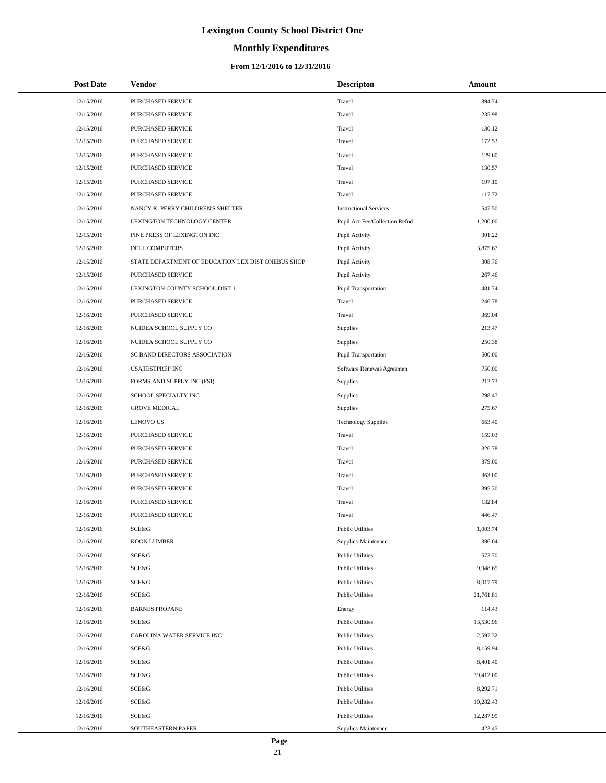# **Monthly Expenditures**

### **From 12/1/2016 to 12/31/2016**

| <b>Post Date</b> | <b>Vendor</b>                                      | <b>Descripton</b>              | <b>Amount</b> |
|------------------|----------------------------------------------------|--------------------------------|---------------|
| 12/15/2016       | PURCHASED SERVICE                                  | Travel                         | 394.74        |
| 12/15/2016       | PURCHASED SERVICE                                  | Travel                         | 235.98        |
| 12/15/2016       | PURCHASED SERVICE                                  | Travel                         | 130.12        |
| 12/15/2016       | PURCHASED SERVICE                                  | Travel                         | 172.53        |
| 12/15/2016       | PURCHASED SERVICE                                  | Travel                         | 129.60        |
| 12/15/2016       | PURCHASED SERVICE                                  | Travel                         | 130.57        |
| 12/15/2016       | PURCHASED SERVICE                                  | Travel                         | 197.10        |
| 12/15/2016       | PURCHASED SERVICE                                  | Travel                         | 117.72        |
| 12/15/2016       | NANCY K PERRY CHILDREN'S SHELTER                   | <b>Instructional Services</b>  | 547.50        |
| 12/15/2016       | LEXINGTON TECHNOLOGY CENTER                        | Pupil Act-Fee/Collection Refnd | 1,200.00      |
| 12/15/2016       | PINE PRESS OF LEXINGTON INC                        | Pupil Activity                 | 301.22        |
| 12/15/2016       | DELL COMPUTERS                                     | Pupil Activity                 | 3,875.67      |
| 12/15/2016       | STATE DEPARTMENT OF EDUCATION LEX DIST ONEBUS SHOP | Pupil Activity                 | 308.76        |
| 12/15/2016       | PURCHASED SERVICE                                  | Pupil Activity                 | 267.46        |
| 12/15/2016       | LEXINGTON COUNTY SCHOOL DIST 1                     | <b>Pupil Transportation</b>    | 481.74        |
| 12/16/2016       | PURCHASED SERVICE                                  | Travel                         | 246.78        |
| 12/16/2016       | PURCHASED SERVICE                                  | Travel                         | 369.04        |
| 12/16/2016       | NUIDEA SCHOOL SUPPLY CO                            | <b>Supplies</b>                | 213.47        |
| 12/16/2016       | NUIDEA SCHOOL SUPPLY CO                            | Supplies                       | 250.38        |
| 12/16/2016       | SC BAND DIRECTORS ASSOCIATION                      | <b>Pupil Transportation</b>    | 500.00        |
| 12/16/2016       | <b>USATESTPREP INC</b>                             | Software Renewal/Agreemen      | 750.00        |
| 12/16/2016       | FORMS AND SUPPLY INC (FSI)                         | Supplies                       | 212.73        |
| 12/16/2016       | SCHOOL SPECIALTY INC                               | Supplies                       | 298.47        |
| 12/16/2016       | <b>GROVE MEDICAL</b>                               | Supplies                       | 275.67        |
| 12/16/2016       | <b>LENOVO US</b>                                   | <b>Technology Supplies</b>     | 663.40        |
| 12/16/2016       | PURCHASED SERVICE                                  | Travel                         | 159.03        |
| 12/16/2016       | PURCHASED SERVICE                                  | Travel                         | 326.78        |
| 12/16/2016       | PURCHASED SERVICE                                  | Travel                         | 379.00        |
| 12/16/2016       | PURCHASED SERVICE                                  | Travel                         | 363.00        |
| 12/16/2016       | PURCHASED SERVICE                                  | Travel                         | 395.30        |
| 12/16/2016       | PURCHASED SERVICE                                  | Travel                         | 132.84        |
| 12/16/2016       | PURCHASED SERVICE                                  | Travel                         | 446.47        |
| 12/16/2016       | SCE&G                                              | <b>Public Utilities</b>        | 1,003.74      |
| 12/16/2016       | <b>KOON LUMBER</b>                                 | Supplies-Maintenace            | 386.04        |
| 12/16/2016       | <b>SCE&amp;G</b>                                   | <b>Public Utilities</b>        | 573.70        |
| 12/16/2016       | SCE&G                                              | <b>Public Utilities</b>        | 9,948.65      |
| 12/16/2016       | SCE&G                                              | <b>Public Utilities</b>        | 8,017.79      |
| 12/16/2016       | SCE&G                                              | <b>Public Utilities</b>        | 21,761.81     |
| 12/16/2016       | <b>BARNES PROPANE</b>                              | Energy                         | 114.43        |
| 12/16/2016       | SCE&G                                              | <b>Public Utilities</b>        | 13,530.96     |
| 12/16/2016       | CAROLINA WATER SERVICE INC                         | <b>Public Utilities</b>        | 2,597.32      |
| 12/16/2016       | SCE&G                                              | <b>Public Utilities</b>        | 8,159.94      |
| 12/16/2016       | SCE&G                                              | <b>Public Utilities</b>        | 8,401.40      |
| 12/16/2016       | SCE&G                                              | <b>Public Utilities</b>        | 39,412.00     |
| 12/16/2016       | SCE&G                                              | <b>Public Utilities</b>        | 8,292.71      |
| 12/16/2016       | SCE&G                                              | <b>Public Utilities</b>        | 10,282.43     |
| 12/16/2016       | SCE&G                                              | <b>Public Utilities</b>        | 12,287.95     |
| 12/16/2016       | SOUTHEASTERN PAPER                                 | Supplies-Maintenace            | 423.45        |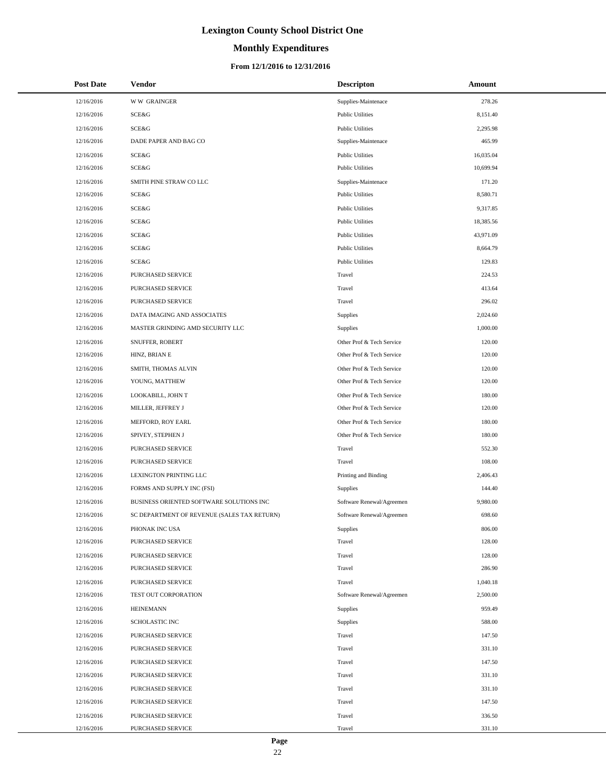# **Monthly Expenditures**

### **From 12/1/2016 to 12/31/2016**

| <b>Post Date</b> | Vendor                                      | <b>Descripton</b>         | Amount    |
|------------------|---------------------------------------------|---------------------------|-----------|
| 12/16/2016       | <b>WW GRAINGER</b>                          | Supplies-Maintenace       | 278.26    |
| 12/16/2016       | SCE&G                                       | <b>Public Utilities</b>   | 8,151.40  |
| 12/16/2016       | <b>SCE&amp;G</b>                            | <b>Public Utilities</b>   | 2,295.98  |
| 12/16/2016       | DADE PAPER AND BAG CO                       | Supplies-Maintenace       | 465.99    |
| 12/16/2016       | SCE&G                                       | <b>Public Utilities</b>   | 16,035.04 |
| 12/16/2016       | SCE&G                                       | <b>Public Utilities</b>   | 10,699.94 |
| 12/16/2016       | SMITH PINE STRAW CO LLC                     | Supplies-Maintenace       | 171.20    |
| 12/16/2016       | SCE&G                                       | <b>Public Utilities</b>   | 8,580.71  |
| 12/16/2016       | SCE&G                                       | <b>Public Utilities</b>   | 9,317.85  |
| 12/16/2016       | SCE&G                                       | <b>Public Utilities</b>   | 18,385.56 |
| 12/16/2016       | SCE&G                                       | <b>Public Utilities</b>   | 43,971.09 |
| 12/16/2016       | SCE&G                                       | <b>Public Utilities</b>   | 8,664.79  |
| 12/16/2016       | SCE&G                                       | <b>Public Utilities</b>   | 129.83    |
| 12/16/2016       | PURCHASED SERVICE                           | Travel                    | 224.53    |
| 12/16/2016       | PURCHASED SERVICE                           | Travel                    | 413.64    |
| 12/16/2016       | PURCHASED SERVICE                           | Travel                    | 296.02    |
| 12/16/2016       | DATA IMAGING AND ASSOCIATES                 | Supplies                  | 2,024.60  |
| 12/16/2016       | MASTER GRINDING AMD SECURITY LLC            | Supplies                  | 1,000.00  |
| 12/16/2016       | SNUFFER, ROBERT                             | Other Prof & Tech Service | 120.00    |
| 12/16/2016       | HINZ, BRIAN E                               | Other Prof & Tech Service | 120.00    |
| 12/16/2016       | SMITH, THOMAS ALVIN                         | Other Prof & Tech Service | 120.00    |
| 12/16/2016       | YOUNG, MATTHEW                              | Other Prof & Tech Service | 120.00    |
| 12/16/2016       | LOOKABILL, JOHN T                           | Other Prof & Tech Service | 180.00    |
| 12/16/2016       | MILLER, JEFFREY J                           | Other Prof & Tech Service | 120.00    |
| 12/16/2016       | MEFFORD, ROY EARL                           | Other Prof & Tech Service | 180.00    |
| 12/16/2016       | SPIVEY, STEPHEN J                           | Other Prof & Tech Service | 180.00    |
| 12/16/2016       | PURCHASED SERVICE                           | Travel                    | 552.30    |
| 12/16/2016       | PURCHASED SERVICE                           | Travel                    | 108.00    |
| 12/16/2016       | LEXINGTON PRINTING LLC                      | Printing and Binding      | 2,406.43  |
| 12/16/2016       | FORMS AND SUPPLY INC (FSI)                  | Supplies                  | 144.40    |
| 12/16/2016       | BUSINESS ORIENTED SOFTWARE SOLUTIONS INC    | Software Renewal/Agreemen | 9,980.00  |
| 12/16/2016       | SC DEPARTMENT OF REVENUE (SALES TAX RETURN) | Software Renewal/Agreemen | 698.60    |
| 12/16/2016       | PHONAK INC USA                              | Supplies                  | 806.00    |
| 12/16/2016       | PURCHASED SERVICE                           | Travel                    | 128.00    |
| 12/16/2016       | PURCHASED SERVICE                           | Travel                    | 128.00    |
| 12/16/2016       | PURCHASED SERVICE                           | Travel                    | 286.90    |
| 12/16/2016       | PURCHASED SERVICE                           | Travel                    | 1,040.18  |
| 12/16/2016       | TEST OUT CORPORATION                        | Software Renewal/Agreemen | 2,500.00  |
| 12/16/2016       | <b>HEINEMANN</b>                            | Supplies                  | 959.49    |
| 12/16/2016       | <b>SCHOLASTIC INC</b>                       | Supplies                  | 588.00    |
| 12/16/2016       | PURCHASED SERVICE                           | Travel                    | 147.50    |
| 12/16/2016       | PURCHASED SERVICE                           | Travel                    | 331.10    |
| 12/16/2016       | PURCHASED SERVICE                           | Travel                    | 147.50    |
| 12/16/2016       | PURCHASED SERVICE                           | Travel                    | 331.10    |
| 12/16/2016       | PURCHASED SERVICE                           | Travel                    | 331.10    |
| 12/16/2016       | PURCHASED SERVICE                           | Travel                    | 147.50    |
| 12/16/2016       | PURCHASED SERVICE                           | Travel                    | 336.50    |
| 12/16/2016       | PURCHASED SERVICE                           | Travel                    | 331.10    |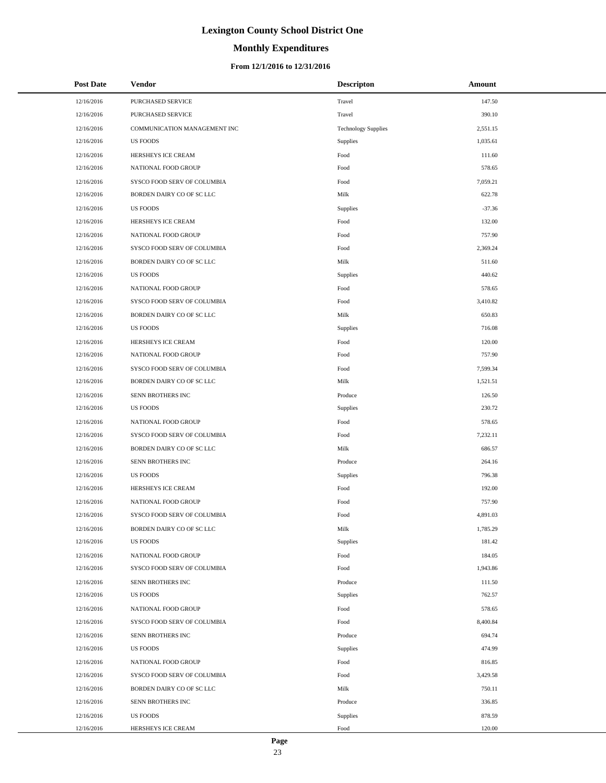# **Monthly Expenditures**

### **From 12/1/2016 to 12/31/2016**

| <b>Post Date</b> | Vendor                       | <b>Descripton</b>          | Amount   |
|------------------|------------------------------|----------------------------|----------|
| 12/16/2016       | PURCHASED SERVICE            | Travel                     | 147.50   |
| 12/16/2016       | PURCHASED SERVICE            | Travel                     | 390.10   |
| 12/16/2016       | COMMUNICATION MANAGEMENT INC | <b>Technology Supplies</b> | 2,551.15 |
| 12/16/2016       | <b>US FOODS</b>              | Supplies                   | 1,035.61 |
| 12/16/2016       | HERSHEYS ICE CREAM           | Food                       | 111.60   |
| 12/16/2016       | NATIONAL FOOD GROUP          | Food                       | 578.65   |
| 12/16/2016       | SYSCO FOOD SERV OF COLUMBIA  | Food                       | 7,059.21 |
| 12/16/2016       | BORDEN DAIRY CO OF SC LLC    | Milk                       | 622.78   |
| 12/16/2016       | <b>US FOODS</b>              | Supplies                   | $-37.36$ |
| 12/16/2016       | HERSHEYS ICE CREAM           | Food                       | 132.00   |
| 12/16/2016       | NATIONAL FOOD GROUP          | Food                       | 757.90   |
| 12/16/2016       | SYSCO FOOD SERV OF COLUMBIA  | Food                       | 2,369.24 |
| 12/16/2016       | BORDEN DAIRY CO OF SC LLC    | Milk                       | 511.60   |
| 12/16/2016       | <b>US FOODS</b>              | Supplies                   | 440.62   |
| 12/16/2016       | NATIONAL FOOD GROUP          | Food                       | 578.65   |
| 12/16/2016       | SYSCO FOOD SERV OF COLUMBIA  | Food                       | 3,410.82 |
| 12/16/2016       | BORDEN DAIRY CO OF SC LLC    | Milk                       | 650.83   |
| 12/16/2016       | <b>US FOODS</b>              | Supplies                   | 716.08   |
| 12/16/2016       | HERSHEYS ICE CREAM           | Food                       | 120.00   |
| 12/16/2016       | NATIONAL FOOD GROUP          | Food                       | 757.90   |
| 12/16/2016       | SYSCO FOOD SERV OF COLUMBIA  | Food                       | 7,599.34 |
| 12/16/2016       | BORDEN DAIRY CO OF SC LLC    | Milk                       | 1,521.51 |
| 12/16/2016       | SENN BROTHERS INC            | Produce                    | 126.50   |
| 12/16/2016       | <b>US FOODS</b>              | Supplies                   | 230.72   |
| 12/16/2016       | NATIONAL FOOD GROUP          | Food                       | 578.65   |
| 12/16/2016       | SYSCO FOOD SERV OF COLUMBIA  | Food                       | 7,232.11 |
| 12/16/2016       | BORDEN DAIRY CO OF SC LLC    | Milk                       | 686.57   |
| 12/16/2016       | SENN BROTHERS INC            | Produce                    | 264.16   |
| 12/16/2016       | <b>US FOODS</b>              | Supplies                   | 796.38   |
| 12/16/2016       | HERSHEYS ICE CREAM           | Food                       | 192.00   |
| 12/16/2016       | NATIONAL FOOD GROUP          | Food                       | 757.90   |
| 12/16/2016       | SYSCO FOOD SERV OF COLUMBIA  | Food                       | 4,891.03 |
| 12/16/2016       | BORDEN DAIRY CO OF SC LLC    | Milk                       | 1,785.29 |
| 12/16/2016       | <b>US FOODS</b>              | Supplies                   | 181.42   |
| 12/16/2016       | NATIONAL FOOD GROUP          | Food                       | 184.05   |
| 12/16/2016       | SYSCO FOOD SERV OF COLUMBIA  | Food                       | 1,943.86 |
| 12/16/2016       | SENN BROTHERS INC            | Produce                    | 111.50   |
| 12/16/2016       | US FOODS                     | Supplies                   | 762.57   |
| 12/16/2016       | NATIONAL FOOD GROUP          | Food                       | 578.65   |
| 12/16/2016       | SYSCO FOOD SERV OF COLUMBIA  | Food                       | 8,400.84 |
| 12/16/2016       | SENN BROTHERS INC            | Produce                    | 694.74   |
| 12/16/2016       | <b>US FOODS</b>              | Supplies                   | 474.99   |
| 12/16/2016       | NATIONAL FOOD GROUP          | Food                       | 816.85   |
| 12/16/2016       | SYSCO FOOD SERV OF COLUMBIA  | Food                       | 3,429.58 |
| 12/16/2016       | BORDEN DAIRY CO OF SC LLC    | Milk                       | 750.11   |
| 12/16/2016       | SENN BROTHERS INC            | Produce                    | 336.85   |
| 12/16/2016       | <b>US FOODS</b>              | Supplies                   | 878.59   |
| 12/16/2016       | HERSHEYS ICE CREAM           | Food                       | 120.00   |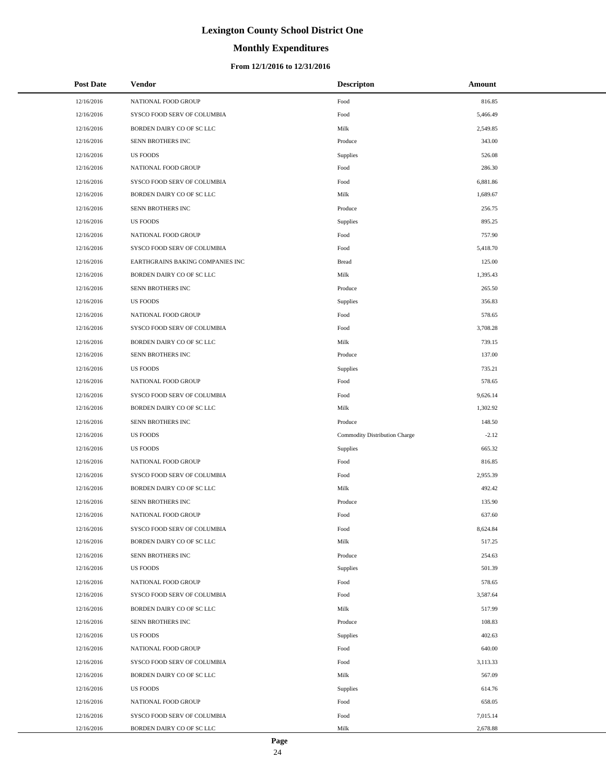# **Monthly Expenditures**

### **From 12/1/2016 to 12/31/2016**

| <b>Post Date</b> | <b>Vendor</b>                    | <b>Descripton</b>             | Amount   |
|------------------|----------------------------------|-------------------------------|----------|
| 12/16/2016       | NATIONAL FOOD GROUP              | Food                          | 816.85   |
| 12/16/2016       | SYSCO FOOD SERV OF COLUMBIA      | Food                          | 5,466.49 |
| 12/16/2016       | BORDEN DAIRY CO OF SC LLC        | Milk                          | 2,549.85 |
| 12/16/2016       | SENN BROTHERS INC                | Produce                       | 343.00   |
| 12/16/2016       | <b>US FOODS</b>                  | Supplies                      | 526.08   |
| 12/16/2016       | NATIONAL FOOD GROUP              | Food                          | 286.30   |
| 12/16/2016       | SYSCO FOOD SERV OF COLUMBIA      | Food                          | 6,881.86 |
| 12/16/2016       | BORDEN DAIRY CO OF SC LLC        | Milk                          | 1,689.67 |
| 12/16/2016       | SENN BROTHERS INC                | Produce                       | 256.75   |
| 12/16/2016       | <b>US FOODS</b>                  | Supplies                      | 895.25   |
| 12/16/2016       | NATIONAL FOOD GROUP              | Food                          | 757.90   |
| 12/16/2016       | SYSCO FOOD SERV OF COLUMBIA      | Food                          | 5,418.70 |
| 12/16/2016       | EARTHGRAINS BAKING COMPANIES INC | <b>Bread</b>                  | 125.00   |
| 12/16/2016       | BORDEN DAIRY CO OF SC LLC        | Milk                          | 1,395.43 |
| 12/16/2016       | SENN BROTHERS INC                | Produce                       | 265.50   |
| 12/16/2016       | <b>US FOODS</b>                  | Supplies                      | 356.83   |
| 12/16/2016       | NATIONAL FOOD GROUP              | Food                          | 578.65   |
| 12/16/2016       | SYSCO FOOD SERV OF COLUMBIA      | Food                          | 3,708.28 |
| 12/16/2016       | BORDEN DAIRY CO OF SC LLC        | Milk                          | 739.15   |
| 12/16/2016       | SENN BROTHERS INC                | Produce                       | 137.00   |
| 12/16/2016       | <b>US FOODS</b>                  | Supplies                      | 735.21   |
| 12/16/2016       | NATIONAL FOOD GROUP              | Food                          | 578.65   |
| 12/16/2016       | SYSCO FOOD SERV OF COLUMBIA      | Food                          | 9,626.14 |
| 12/16/2016       | BORDEN DAIRY CO OF SC LLC        | Milk                          | 1,302.92 |
| 12/16/2016       | SENN BROTHERS INC                | Produce                       | 148.50   |
| 12/16/2016       | <b>US FOODS</b>                  | Commodity Distribution Charge | $-2.12$  |
| 12/16/2016       | <b>US FOODS</b>                  | Supplies                      | 665.32   |
| 12/16/2016       | NATIONAL FOOD GROUP              | Food                          | 816.85   |
| 12/16/2016       | SYSCO FOOD SERV OF COLUMBIA      | Food                          | 2,955.39 |
| 12/16/2016       | BORDEN DAIRY CO OF SC LLC        | Milk                          | 492.42   |
| 12/16/2016       | SENN BROTHERS INC                | Produce                       | 135.90   |
| 12/16/2016       | NATIONAL FOOD GROUP              | Food                          | 637.60   |
| 12/16/2016       | SYSCO FOOD SERV OF COLUMBIA      | Food                          | 8,624.84 |
| 12/16/2016       | BORDEN DAIRY CO OF SC LLC        | Milk                          | 517.25   |
| 12/16/2016       | SENN BROTHERS INC                | Produce                       | 254.63   |
| 12/16/2016       | US FOODS                         | Supplies                      | 501.39   |
| 12/16/2016       | NATIONAL FOOD GROUP              | Food                          | 578.65   |
| 12/16/2016       | SYSCO FOOD SERV OF COLUMBIA      | Food                          | 3,587.64 |
| 12/16/2016       | BORDEN DAIRY CO OF SC LLC        | Milk                          | 517.99   |
| 12/16/2016       | SENN BROTHERS INC                | Produce                       | 108.83   |
| 12/16/2016       | <b>US FOODS</b>                  | Supplies                      | 402.63   |
| 12/16/2016       | NATIONAL FOOD GROUP              | Food                          | 640.00   |
| 12/16/2016       | SYSCO FOOD SERV OF COLUMBIA      | Food                          | 3,113.33 |
| 12/16/2016       | BORDEN DAIRY CO OF SC LLC        | Milk                          | 567.09   |
| 12/16/2016       | US FOODS                         | Supplies                      | 614.76   |
| 12/16/2016       | NATIONAL FOOD GROUP              | Food                          | 658.05   |
| 12/16/2016       | SYSCO FOOD SERV OF COLUMBIA      | Food                          | 7,015.14 |
| 12/16/2016       | BORDEN DAIRY CO OF SC LLC        | Milk                          | 2,678.88 |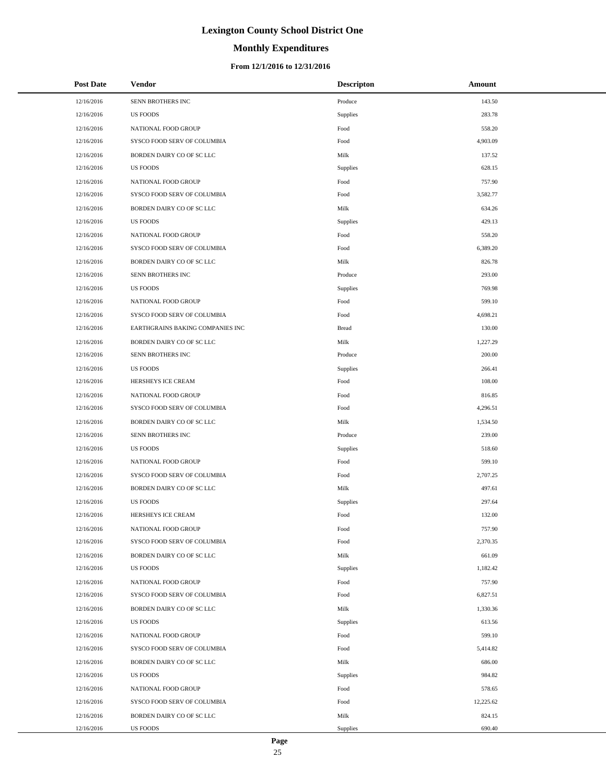# **Monthly Expenditures**

### **From 12/1/2016 to 12/31/2016**

| <b>Post Date</b> | Vendor                           | <b>Descripton</b> | Amount    |
|------------------|----------------------------------|-------------------|-----------|
| 12/16/2016       | SENN BROTHERS INC                | Produce           | 143.50    |
| 12/16/2016       | <b>US FOODS</b>                  | Supplies          | 283.78    |
| 12/16/2016       | NATIONAL FOOD GROUP              | Food              | 558.20    |
| 12/16/2016       | SYSCO FOOD SERV OF COLUMBIA      | Food              | 4,903.09  |
| 12/16/2016       | BORDEN DAIRY CO OF SC LLC        | Milk              | 137.52    |
| 12/16/2016       | <b>US FOODS</b>                  | Supplies          | 628.15    |
| 12/16/2016       | NATIONAL FOOD GROUP              | Food              | 757.90    |
| 12/16/2016       | SYSCO FOOD SERV OF COLUMBIA      | Food              | 3,582.77  |
| 12/16/2016       | BORDEN DAIRY CO OF SC LLC        | Milk              | 634.26    |
| 12/16/2016       | <b>US FOODS</b>                  | Supplies          | 429.13    |
| 12/16/2016       | NATIONAL FOOD GROUP              | Food              | 558.20    |
| 12/16/2016       | SYSCO FOOD SERV OF COLUMBIA      | Food              | 6,389.20  |
| 12/16/2016       | BORDEN DAIRY CO OF SC LLC        | Milk              | 826.78    |
| 12/16/2016       | SENN BROTHERS INC                | Produce           | 293.00    |
| 12/16/2016       | <b>US FOODS</b>                  | Supplies          | 769.98    |
| 12/16/2016       | NATIONAL FOOD GROUP              | Food              | 599.10    |
| 12/16/2016       | SYSCO FOOD SERV OF COLUMBIA      | Food              | 4,698.21  |
| 12/16/2016       | EARTHGRAINS BAKING COMPANIES INC | <b>Bread</b>      | 130.00    |
| 12/16/2016       | BORDEN DAIRY CO OF SC LLC        | Milk              | 1,227.29  |
| 12/16/2016       | SENN BROTHERS INC                | Produce           | 200.00    |
| 12/16/2016       | <b>US FOODS</b>                  | Supplies          | 266.41    |
| 12/16/2016       | HERSHEYS ICE CREAM               | Food              | 108.00    |
| 12/16/2016       | NATIONAL FOOD GROUP              | Food              | 816.85    |
| 12/16/2016       | SYSCO FOOD SERV OF COLUMBIA      | Food              | 4,296.51  |
| 12/16/2016       | BORDEN DAIRY CO OF SC LLC        | Milk              | 1,534.50  |
| 12/16/2016       | SENN BROTHERS INC                | Produce           | 239.00    |
| 12/16/2016       | <b>US FOODS</b>                  | Supplies          | 518.60    |
| 12/16/2016       | NATIONAL FOOD GROUP              | Food              | 599.10    |
| 12/16/2016       | SYSCO FOOD SERV OF COLUMBIA      | Food              | 2,707.25  |
| 12/16/2016       | BORDEN DAIRY CO OF SC LLC        | Milk              | 497.61    |
| 12/16/2016       | <b>US FOODS</b>                  | Supplies          | 297.64    |
| 12/16/2016       | HERSHEYS ICE CREAM               | Food              | 132.00    |
| 12/16/2016       | NATIONAL FOOD GROUP              | Food              | 757.90    |
| 12/16/2016       | SYSCO FOOD SERV OF COLUMBIA      | Food              | 2,370.35  |
| 12/16/2016       | BORDEN DAIRY CO OF SC LLC        | Milk              | 661.09    |
| 12/16/2016       | <b>US FOODS</b>                  | Supplies          | 1,182.42  |
| 12/16/2016       | NATIONAL FOOD GROUP              | Food              | 757.90    |
| 12/16/2016       | SYSCO FOOD SERV OF COLUMBIA      | Food              | 6,827.51  |
| 12/16/2016       | BORDEN DAIRY CO OF SC LLC        | Milk              | 1,330.36  |
| 12/16/2016       | <b>US FOODS</b>                  | Supplies          | 613.56    |
| 12/16/2016       | NATIONAL FOOD GROUP              | Food              | 599.10    |
| 12/16/2016       | SYSCO FOOD SERV OF COLUMBIA      | Food              | 5,414.82  |
| 12/16/2016       | BORDEN DAIRY CO OF SC LLC        | Milk              | 686.00    |
| 12/16/2016       | <b>US FOODS</b>                  | Supplies          | 984.82    |
| 12/16/2016       | NATIONAL FOOD GROUP              | Food              | 578.65    |
| 12/16/2016       | SYSCO FOOD SERV OF COLUMBIA      | Food              | 12,225.62 |
| 12/16/2016       | BORDEN DAIRY CO OF SC LLC        | Milk              | 824.15    |
| 12/16/2016       | US FOODS                         | Supplies          | 690.40    |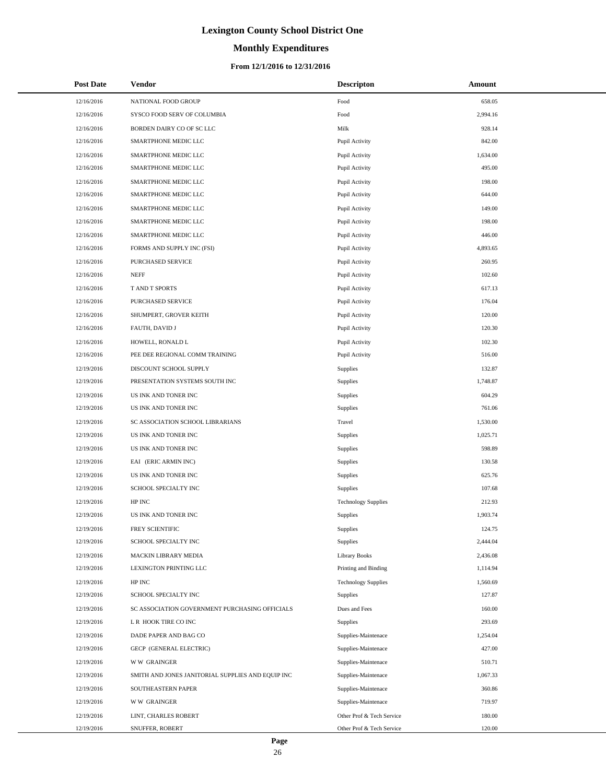# **Monthly Expenditures**

### **From 12/1/2016 to 12/31/2016**

| <b>Post Date</b> | Vendor                                            | <b>Descripton</b>          | Amount   |
|------------------|---------------------------------------------------|----------------------------|----------|
| 12/16/2016       | NATIONAL FOOD GROUP                               | Food                       | 658.05   |
| 12/16/2016       | SYSCO FOOD SERV OF COLUMBIA                       | Food                       | 2,994.16 |
| 12/16/2016       | BORDEN DAIRY CO OF SC LLC                         | Milk                       | 928.14   |
| 12/16/2016       | SMARTPHONE MEDIC LLC                              | Pupil Activity             | 842.00   |
| 12/16/2016       | SMARTPHONE MEDIC LLC                              | Pupil Activity             | 1,634.00 |
| 12/16/2016       | SMARTPHONE MEDIC LLC                              | Pupil Activity             | 495.00   |
| 12/16/2016       | SMARTPHONE MEDIC LLC                              | Pupil Activity             | 198.00   |
| 12/16/2016       | SMARTPHONE MEDIC LLC                              | Pupil Activity             | 644.00   |
| 12/16/2016       | SMARTPHONE MEDIC LLC                              | Pupil Activity             | 149.00   |
| 12/16/2016       | SMARTPHONE MEDIC LLC                              | Pupil Activity             | 198.00   |
| 12/16/2016       | SMARTPHONE MEDIC LLC                              | Pupil Activity             | 446.00   |
| 12/16/2016       | FORMS AND SUPPLY INC (FSI)                        | Pupil Activity             | 4,893.65 |
| 12/16/2016       | PURCHASED SERVICE                                 | Pupil Activity             | 260.95   |
| 12/16/2016       | <b>NEFF</b>                                       | Pupil Activity             | 102.60   |
| 12/16/2016       | T AND T SPORTS                                    | Pupil Activity             | 617.13   |
| 12/16/2016       | PURCHASED SERVICE                                 | Pupil Activity             | 176.04   |
| 12/16/2016       | SHUMPERT, GROVER KEITH                            | Pupil Activity             | 120.00   |
| 12/16/2016       | FAUTH, DAVID J                                    | Pupil Activity             | 120.30   |
| 12/16/2016       | HOWELL, RONALD L                                  | Pupil Activity             | 102.30   |
| 12/16/2016       | PEE DEE REGIONAL COMM TRAINING                    | Pupil Activity             | 516.00   |
| 12/19/2016       | DISCOUNT SCHOOL SUPPLY                            | Supplies                   | 132.87   |
| 12/19/2016       | PRESENTATION SYSTEMS SOUTH INC                    | Supplies                   | 1,748.87 |
| 12/19/2016       | US INK AND TONER INC                              | Supplies                   | 604.29   |
| 12/19/2016       | US INK AND TONER INC                              | Supplies                   | 761.06   |
| 12/19/2016       | SC ASSOCIATION SCHOOL LIBRARIANS                  | Travel                     | 1,530.00 |
| 12/19/2016       | US INK AND TONER INC                              | Supplies                   | 1,025.71 |
| 12/19/2016       | US INK AND TONER INC                              | Supplies                   | 598.89   |
| 12/19/2016       | EAI (ERIC ARMIN INC)                              | Supplies                   | 130.58   |
| 12/19/2016       | US INK AND TONER INC                              | Supplies                   | 625.76   |
| 12/19/2016       | SCHOOL SPECIALTY INC                              | Supplies                   | 107.68   |
| 12/19/2016       | HP INC                                            | <b>Technology Supplies</b> | 212.93   |
| 12/19/2016       | US INK AND TONER INC                              | <b>Supplies</b>            | 1,903.74 |
| 12/19/2016       | FREY SCIENTIFIC                                   | Supplies                   | 124.75   |
| 12/19/2016       | SCHOOL SPECIALTY INC                              | Supplies                   | 2,444.04 |
| 12/19/2016       | MACKIN LIBRARY MEDIA                              | <b>Library Books</b>       | 2,436.08 |
| 12/19/2016       | LEXINGTON PRINTING LLC                            | Printing and Binding       | 1,114.94 |
| 12/19/2016       | HP INC                                            | <b>Technology Supplies</b> | 1,560.69 |
| 12/19/2016       | SCHOOL SPECIALTY INC                              | Supplies                   | 127.87   |
| 12/19/2016       | SC ASSOCIATION GOVERNMENT PURCHASING OFFICIALS    | Dues and Fees              | 160.00   |
| 12/19/2016       | L R HOOK TIRE CO INC                              | Supplies                   | 293.69   |
| 12/19/2016       | DADE PAPER AND BAG CO                             | Supplies-Maintenace        | 1,254.04 |
| 12/19/2016       | GECP (GENERAL ELECTRIC)                           | Supplies-Maintenace        | 427.00   |
| 12/19/2016       | <b>WW GRAINGER</b>                                | Supplies-Maintenace        | 510.71   |
| 12/19/2016       | SMITH AND JONES JANITORIAL SUPPLIES AND EQUIP INC | Supplies-Maintenace        | 1,067.33 |
| 12/19/2016       | SOUTHEASTERN PAPER                                | Supplies-Maintenace        | 360.86   |
| 12/19/2016       | <b>WW GRAINGER</b>                                | Supplies-Maintenace        | 719.97   |
| 12/19/2016       | LINT, CHARLES ROBERT                              | Other Prof & Tech Service  | 180.00   |
| 12/19/2016       | SNUFFER, ROBERT                                   | Other Prof & Tech Service  | 120.00   |

L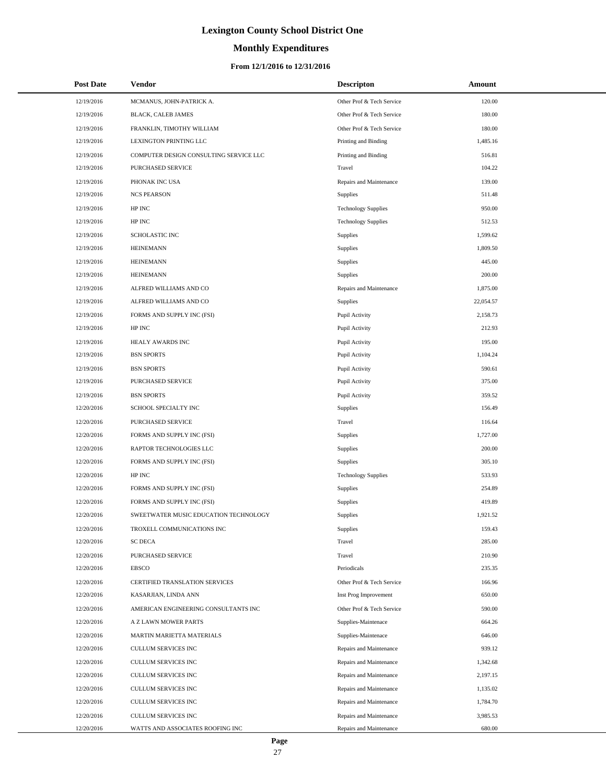# **Monthly Expenditures**

| <b>Post Date</b> | <b>Vendor</b>                          | <b>Descripton</b>          | Amount    |
|------------------|----------------------------------------|----------------------------|-----------|
| 12/19/2016       | MCMANUS, JOHN-PATRICK A.               | Other Prof & Tech Service  | 120.00    |
| 12/19/2016       | BLACK, CALEB JAMES                     | Other Prof & Tech Service  | 180.00    |
| 12/19/2016       | FRANKLIN, TIMOTHY WILLIAM              | Other Prof & Tech Service  | 180.00    |
| 12/19/2016       | LEXINGTON PRINTING LLC                 | Printing and Binding       | 1.485.16  |
| 12/19/2016       | COMPUTER DESIGN CONSULTING SERVICE LLC | Printing and Binding       | 516.81    |
| 12/19/2016       | PURCHASED SERVICE                      | Travel                     | 104.22    |
| 12/19/2016       | PHONAK INC USA                         | Repairs and Maintenance    | 139.00    |
| 12/19/2016       | <b>NCS PEARSON</b>                     | Supplies                   | 511.48    |
| 12/19/2016       | HP INC                                 | <b>Technology Supplies</b> | 950.00    |
| 12/19/2016       | HP INC                                 | <b>Technology Supplies</b> | 512.53    |
| 12/19/2016       | <b>SCHOLASTIC INC</b>                  | Supplies                   | 1,599.62  |
| 12/19/2016       | <b>HEINEMANN</b>                       | Supplies                   | 1,809.50  |
| 12/19/2016       | <b>HEINEMANN</b>                       | Supplies                   | 445.00    |
| 12/19/2016       | <b>HEINEMANN</b>                       | Supplies                   | 200.00    |
| 12/19/2016       | ALFRED WILLIAMS AND CO                 | Repairs and Maintenance    | 1,875.00  |
| 12/19/2016       | ALFRED WILLIAMS AND CO                 | Supplies                   | 22,054.57 |
| 12/19/2016       | FORMS AND SUPPLY INC (FSI)             | Pupil Activity             | 2,158.73  |
| 12/19/2016       | HP INC                                 | Pupil Activity             | 212.93    |
| 12/19/2016       | HEALY AWARDS INC                       | Pupil Activity             | 195.00    |
| 12/19/2016       | <b>BSN SPORTS</b>                      | Pupil Activity             | 1,104.24  |
| 12/19/2016       | <b>BSN SPORTS</b>                      | Pupil Activity             | 590.61    |
| 12/19/2016       | PURCHASED SERVICE                      | Pupil Activity             | 375.00    |
| 12/19/2016       | <b>BSN SPORTS</b>                      | Pupil Activity             | 359.52    |
| 12/20/2016       | SCHOOL SPECIALTY INC                   | Supplies                   | 156.49    |
| 12/20/2016       | PURCHASED SERVICE                      | Travel                     | 116.64    |
| 12/20/2016       | FORMS AND SUPPLY INC (FSI)             | Supplies                   | 1,727.00  |
| 12/20/2016       | RAPTOR TECHNOLOGIES LLC                | Supplies                   | 200.00    |
| 12/20/2016       | FORMS AND SUPPLY INC (FSI)             | Supplies                   | 305.10    |
| 12/20/2016       | HP INC                                 | <b>Technology Supplies</b> | 533.93    |
| 12/20/2016       | FORMS AND SUPPLY INC (FSI)             | Supplies                   | 254.89    |
| 12/20/2016       | FORMS AND SUPPLY INC (FSI)             | Supplies                   | 419.89    |
| 12/20/2016       | SWEETWATER MUSIC EDUCATION TECHNOLOGY  | Supplies                   | 1,921.52  |
| 12/20/2016       | TROXELL COMMUNICATIONS INC             | Supplies                   | 159.43    |
| 12/20/2016       | <b>SC DECA</b>                         | Travel                     | 285.00    |
| 12/20/2016       | PURCHASED SERVICE                      | Travel                     | 210.90    |
| 12/20/2016       | <b>EBSCO</b>                           | Periodicals                | 235.35    |
| 12/20/2016       | CERTIFIED TRANSLATION SERVICES         | Other Prof & Tech Service  | 166.96    |
| 12/20/2016       | KASARJIAN, LINDA ANN                   | Inst Prog Improvement      | 650.00    |
| 12/20/2016       | AMERICAN ENGINEERING CONSULTANTS INC   | Other Prof & Tech Service  | 590.00    |
| 12/20/2016       | A Z LAWN MOWER PARTS                   | Supplies-Maintenace        | 664.26    |
| 12/20/2016       | MARTIN MARIETTA MATERIALS              | Supplies-Maintenace        | 646.00    |
| 12/20/2016       | CULLUM SERVICES INC                    | Repairs and Maintenance    | 939.12    |
| 12/20/2016       | CULLUM SERVICES INC                    | Repairs and Maintenance    | 1,342.68  |
| 12/20/2016       | CULLUM SERVICES INC                    | Repairs and Maintenance    | 2,197.15  |
| 12/20/2016       | CULLUM SERVICES INC                    | Repairs and Maintenance    | 1,135.02  |
| 12/20/2016       | CULLUM SERVICES INC                    | Repairs and Maintenance    | 1,784.70  |
| 12/20/2016       | CULLUM SERVICES INC                    | Repairs and Maintenance    | 3,985.53  |
| 12/20/2016       | WATTS AND ASSOCIATES ROOFING INC       | Repairs and Maintenance    | 680.00    |